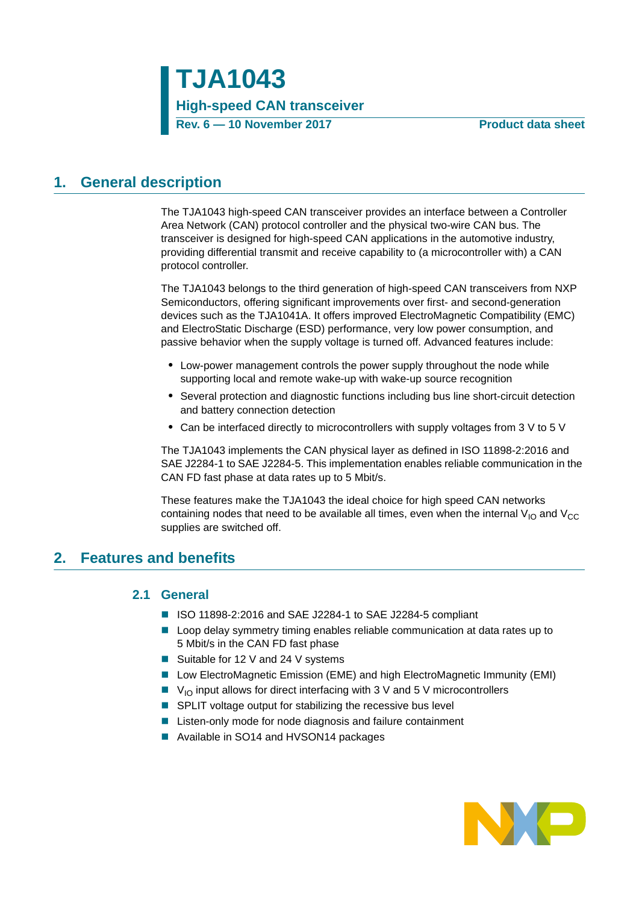### <span id="page-0-0"></span>**1. General description**

The TJA1043 high-speed CAN transceiver provides an interface between a Controller Area Network (CAN) protocol controller and the physical two-wire CAN bus. The transceiver is designed for high-speed CAN applications in the automotive industry, providing differential transmit and receive capability to (a microcontroller with) a CAN protocol controller.

The TJA1043 belongs to the third generation of high-speed CAN transceivers from NXP Semiconductors, offering significant improvements over first- and second-generation devices such as the TJA1041A. It offers improved ElectroMagnetic Compatibility (EMC) and ElectroStatic Discharge (ESD) performance, very low power consumption, and passive behavior when the supply voltage is turned off. Advanced features include:

- **•** Low-power management controls the power supply throughout the node while supporting local and remote wake-up with wake-up source recognition
- **•** Several protection and diagnostic functions including bus line short-circuit detection and battery connection detection
- Can be interfaced directly to microcontrollers with supply voltages from 3 V to 5 V

The TJA1043 implements the CAN physical layer as defined in ISO 11898-2:2016 and SAE J2284-1 to SAE J2284-5. This implementation enables reliable communication in the CAN FD fast phase at data rates up to 5 Mbit/s.

These features make the TJA1043 the ideal choice for high speed CAN networks containing nodes that need to be available all times, even when the internal  $V_{IO}$  and  $V_{CC}$ supplies are switched off.

### <span id="page-0-2"></span><span id="page-0-1"></span>**2. Features and benefits**

#### **2.1 General**

- ISO 11898-2:2016 and SAE J2284-1 to SAE J2284-5 compliant
- **Lackter Loop delay symmetry timing enables reliable communication at data rates up to** 5 Mbit/s in the CAN FD fast phase
- Suitable for 12 V and 24 V systems
- Low ElectroMagnetic Emission (EME) and high ElectroMagnetic Immunity (EMI)
- $\blacksquare$  V<sub>IO</sub> input allows for direct interfacing with 3 V and 5 V microcontrollers
- SPLIT voltage output for stabilizing the recessive bus level
- Listen-only mode for node diagnosis and failure containment
- Available in SO14 and HVSON14 packages

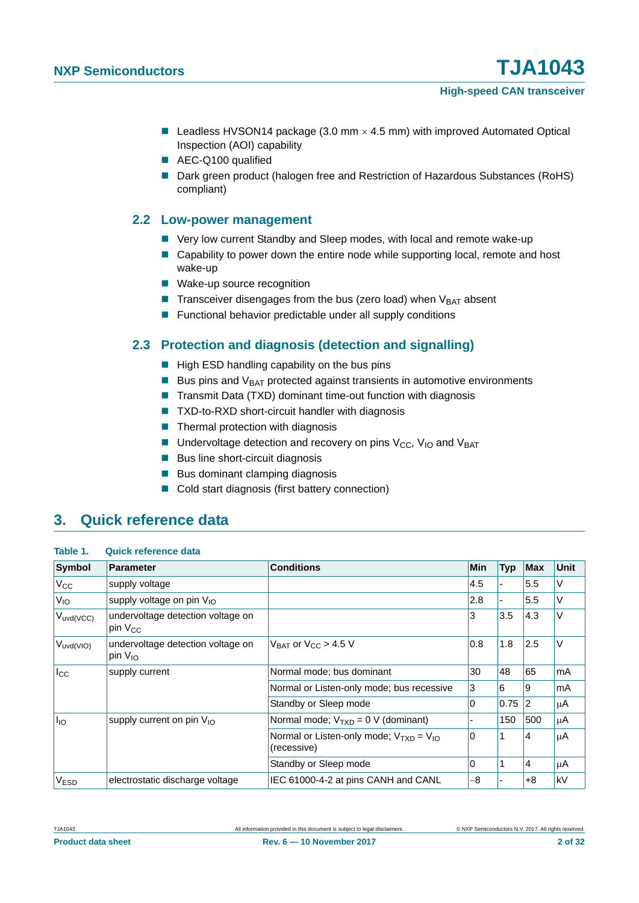- Leadless HVSON14 package (3.0 mm  $\times$  4.5 mm) with improved Automated Optical Inspection (AOI) capability
- AEC-Q100 qualified
- Dark green product (halogen free and Restriction of Hazardous Substances (RoHS) compliant)

#### <span id="page-1-0"></span>**2.2 Low-power management**

- Very low current Standby and Sleep modes, with local and remote wake-up
- Capability to power down the entire node while supporting local, remote and host wake-up
- Wake-up source recognition
- **Transceiver disengages from the bus (zero load) when**  $V_{BAT}$  **absent**
- $\blacksquare$  Functional behavior predictable under all supply conditions

### <span id="page-1-1"></span>**2.3 Protection and diagnosis (detection and signalling)**

- $\blacksquare$  High ESD handling capability on the bus pins
- Bus pins and  $V_{BAT}$  protected against transients in automotive environments
- **Transmit Data (TXD) dominant time-out function with diagnosis**
- TXD-to-RXD short-circuit handler with diagnosis
- $\blacksquare$  Thermal protection with diagnosis
- **Undervoltage detection and recovery on pins**  $V_{CC}$ **,**  $V_{IO}$  **and**  $V_{BAT}$
- $\blacksquare$  Bus line short-circuit diagnosis
- Bus dominant clamping diagnosis
- Cold start diagnosis (first battery connection)

### <span id="page-1-2"></span>**3. Quick reference data**

| Table 1. | <b>Quick reference data</b> |  |
|----------|-----------------------------|--|
|----------|-----------------------------|--|

| Symbol          | <b>Parameter</b>                                  | <b>Conditions</b>                                             | Min | <b>Typ</b> | <b>Max</b>  | <b>Unit</b> |
|-----------------|---------------------------------------------------|---------------------------------------------------------------|-----|------------|-------------|-------------|
| $V_{\rm CC}$    | supply voltage                                    |                                                               | 4.5 |            | 5.5         | V           |
| V <sub>IO</sub> | supply voltage on pin $V_{10}$                    |                                                               | 2.8 |            | 5.5         | V           |
| $V_{uvd(VCC)}$  | undervoltage detection voltage on<br>pin $V_{CC}$ |                                                               | 3   | 3.5        | 4.3         | V           |
| $V_{uvd(VIO)}$  | undervoltage detection voltage on<br>pin $V_{10}$ | $V_{BAT}$ or $V_{CC}$ > 4.5 V                                 | 0.8 | 1.8        | 2.5         | V           |
| $I_{\rm CC}$    | supply current                                    | Normal mode; bus dominant                                     | 30  | 48         | 65          | mA          |
|                 |                                                   | Normal or Listen-only mode; bus recessive                     | 3   | 6          | 9           | mA          |
|                 |                                                   | Standby or Sleep mode                                         | 0   | 0.75       | $ 2\rangle$ | μA          |
| $I_{IO}$        | supply current on pin $V_{10}$                    | Normal mode; $V_{TXD} = 0$ V (dominant)                       |     | 150        | 500         | μA          |
|                 |                                                   | Normal or Listen-only mode; $V_{TxD} = V_{1Q}$<br>(recessive) | 0   |            | 14          | μA          |
|                 |                                                   | Standby or Sleep mode                                         | 0   |            | 14          | μA          |
| <b>VESD</b>     | electrostatic discharge voltage                   | IEC 61000-4-2 at pins CANH and CANL                           | -8  |            | +8          | kV          |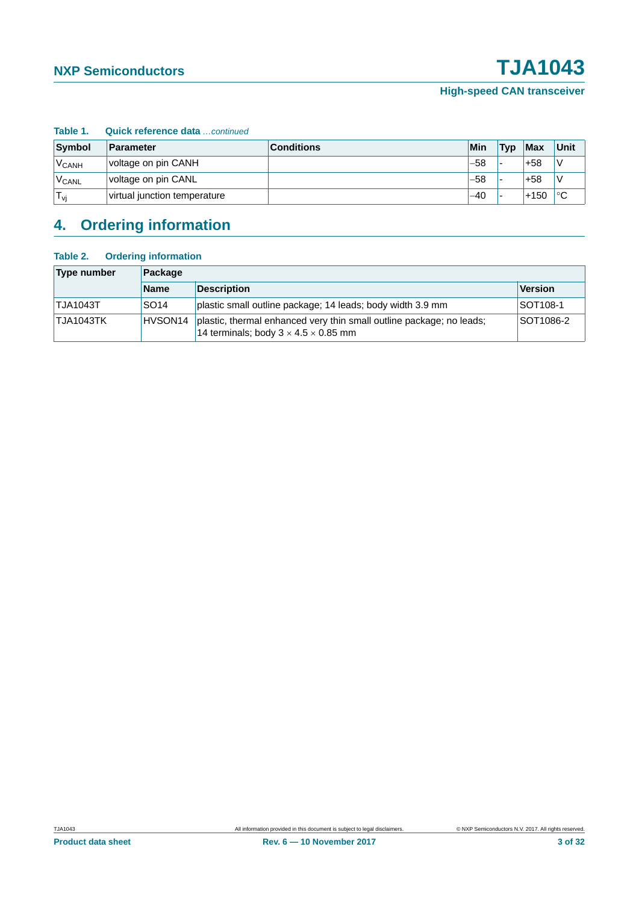| Table 1.          | Quick reference data  continued |                   |       |     |            |             |
|-------------------|---------------------------------|-------------------|-------|-----|------------|-------------|
| Symbol            | Parameter                       | <b>Conditions</b> | Min   | Typ | <b>Max</b> | Unit        |
| V <sub>CANH</sub> | voltage on pin CANH             |                   | $-58$ |     | $+58$      |             |
| V <sub>CANL</sub> | voltage on pin CANL             |                   | -58   |     | $+58$      |             |
| $T_{vi}$          | virtual junction temperature    |                   | $-40$ |     | $+150$     | $^{\circ}C$ |

# <span id="page-2-0"></span>**4. Ordering information**

#### **Table 2. Ordering information**

| Type number     | Package          |                                                                                                                          |                |  |
|-----------------|------------------|--------------------------------------------------------------------------------------------------------------------------|----------------|--|
|                 | <b>Name</b>      | <b>Description</b>                                                                                                       | <b>Version</b> |  |
| <b>TJA1043T</b> | SO <sub>14</sub> | plastic small outline package; 14 leads; body width 3.9 mm                                                               | SOT108-1       |  |
| TJA1043TK       | HVSON14          | plastic, thermal enhanced very thin small outline package; no leads;<br>14 terminals; body $3 \times 4.5 \times 0.85$ mm | SOT1086-2      |  |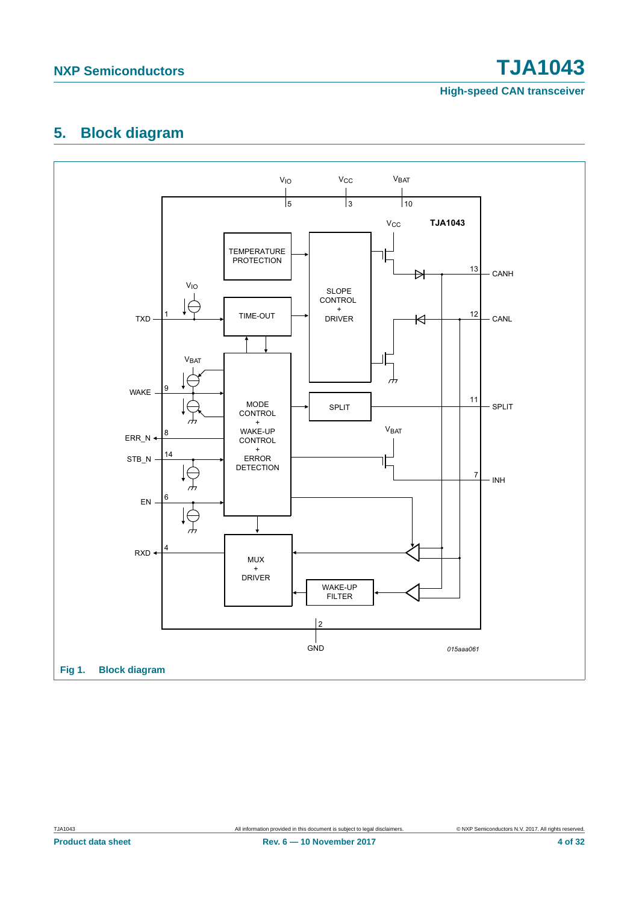**High-speed CAN transceiver**

### <span id="page-3-1"></span>**5. Block diagram**

<span id="page-3-0"></span>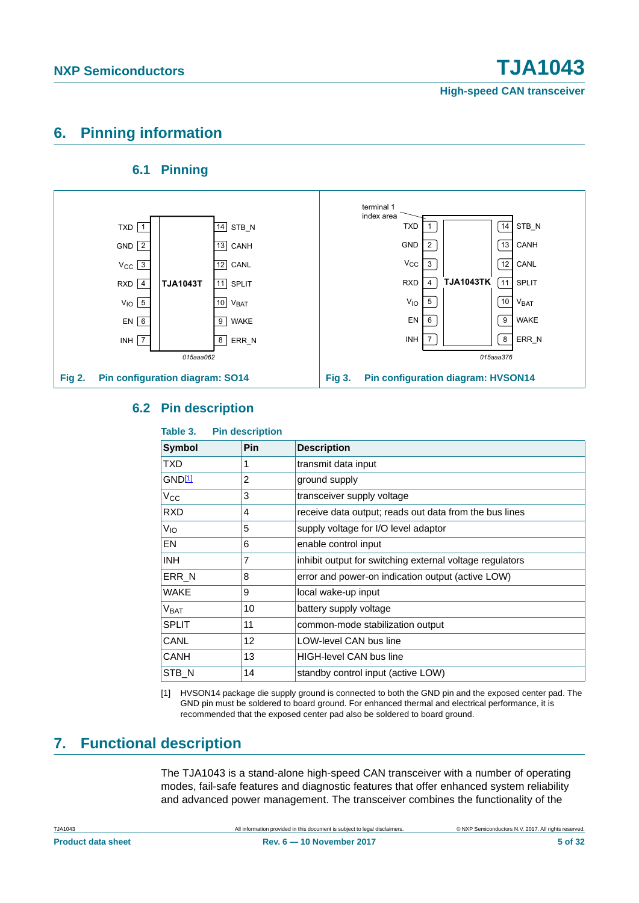### <span id="page-4-1"></span>**6. Pinning information**

### **6.1 Pinning**

<span id="page-4-2"></span>

### <span id="page-4-3"></span>**6.2 Pin description**

| Table 3.         | <b>Pin description</b> |                                                          |
|------------------|------------------------|----------------------------------------------------------|
| Symbol           | Pin                    | <b>Description</b>                                       |
| TXD              |                        | transmit data input                                      |
| GND11            | $\overline{2}$         | ground supply                                            |
| $V_{\rm CC}$     | 3                      | transceiver supply voltage                               |
| <b>RXD</b>       | 4                      | receive data output; reads out data from the bus lines   |
| V <sub>IO</sub>  | 5                      | supply voltage for I/O level adaptor                     |
| EN               | 6                      | enable control input                                     |
| <b>INH</b>       | 7                      | inhibit output for switching external voltage regulators |
| ERR N            | 8                      | error and power-on indication output (active LOW)        |
| <b>WAKE</b>      | 9                      | local wake-up input                                      |
| V <sub>BAT</sub> | 10                     | battery supply voltage                                   |
| <b>SPLIT</b>     | 11                     | common-mode stabilization output                         |
| CANL             | 12                     | LOW-level CAN bus line                                   |
| CANH             | 13                     | <b>HIGH-level CAN bus line</b>                           |
| STB N            | 14                     | standby control input (active LOW)                       |

<span id="page-4-0"></span>[1] HVSON14 package die supply ground is connected to both the GND pin and the exposed center pad. The GND pin must be soldered to board ground. For enhanced thermal and electrical performance, it is recommended that the exposed center pad also be soldered to board ground.

## <span id="page-4-4"></span>**7. Functional description**

The TJA1043 is a stand-alone high-speed CAN transceiver with a number of operating modes, fail-safe features and diagnostic features that offer enhanced system reliability and advanced power management. The transceiver combines the functionality of the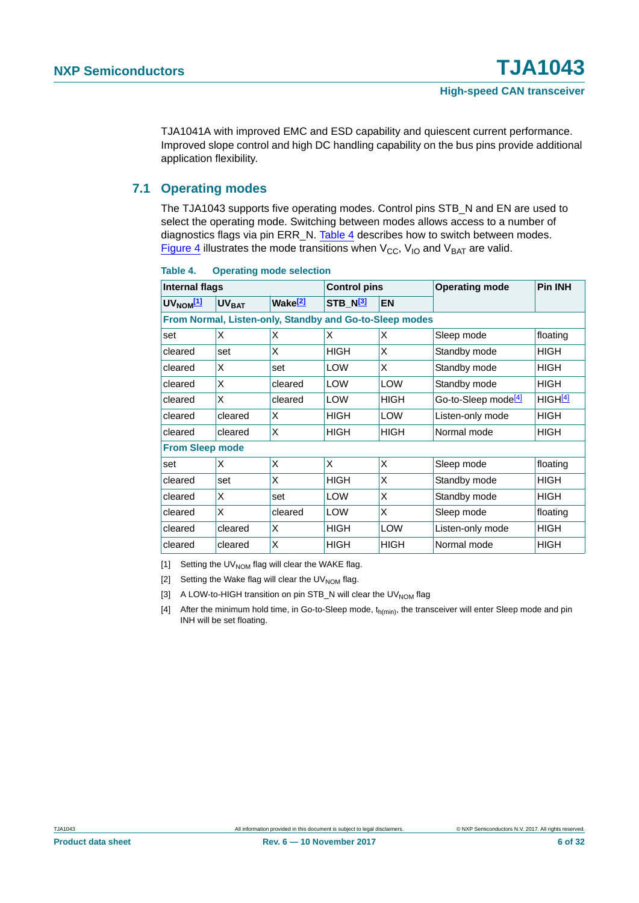TJA1041A with improved EMC and ESD capability and quiescent current performance. Improved slope control and high DC handling capability on the bus pins provide additional application flexibility.

#### <span id="page-5-5"></span>**7.1 Operating modes**

The TJA1043 supports five operating modes. Control pins STB\_N and EN are used to select the operating mode. Switching between modes allows access to a number of diagnostics flags via pin ERR\_N. [Table 4](#page-5-0) describes how to switch between modes. [Figure 4](#page-6-0) illustrates the mode transitions when  $V_{CC}$ ,  $V_{IO}$  and  $V_{BAT}$  are valid.

| <b>Internal flags</b>  |                                                         | <b>Control pins</b> |                      | <b>Operating mode</b> | <b>Pin INH</b>                  |                     |  |  |
|------------------------|---------------------------------------------------------|---------------------|----------------------|-----------------------|---------------------------------|---------------------|--|--|
| $UV_{NOM}$ [1]         | <b>UV<sub>BAT</sub></b>                                 | Wake <sup>[2]</sup> | STB_N <sup>[3]</sup> | <b>EN</b>             |                                 |                     |  |  |
|                        | From Normal, Listen-only, Standby and Go-to-Sleep modes |                     |                      |                       |                                 |                     |  |  |
| set                    | X                                                       | X                   | X                    | X                     | Sleep mode                      | floating            |  |  |
| cleared                | set                                                     | X                   | <b>HIGH</b>          | X                     | Standby mode                    | <b>HIGH</b>         |  |  |
| cleared                | X                                                       | set                 | <b>LOW</b>           | X                     | Standby mode                    | <b>HIGH</b>         |  |  |
| cleared                | X                                                       | cleared             | <b>LOW</b>           | <b>LOW</b>            | Standby mode                    | <b>HIGH</b>         |  |  |
| cleared                | X                                                       | cleared             | <b>LOW</b>           | <b>HIGH</b>           | Go-to-Sleep mode <sup>[4]</sup> | HIGH <sup>[4]</sup> |  |  |
| cleared                | cleared                                                 | X                   | <b>HIGH</b>          | <b>LOW</b>            | Listen-only mode                | <b>HIGH</b>         |  |  |
| cleared                | cleared                                                 | X                   | <b>HIGH</b>          | <b>HIGH</b>           | Normal mode                     | <b>HIGH</b>         |  |  |
| <b>From Sleep mode</b> |                                                         |                     |                      |                       |                                 |                     |  |  |
| set                    | X                                                       | X                   | X                    | X                     | Sleep mode                      | floating            |  |  |
| cleared                | set                                                     | X                   | <b>HIGH</b>          | X                     | Standby mode                    | <b>HIGH</b>         |  |  |
| cleared                | X                                                       | set                 | <b>LOW</b>           | X                     | Standby mode                    | <b>HIGH</b>         |  |  |
| cleared                | X                                                       | cleared             | <b>LOW</b>           | X                     | Sleep mode                      | floating            |  |  |
| cleared                | cleared                                                 | X                   | <b>HIGH</b>          | LOW                   | Listen-only mode                | <b>HIGH</b>         |  |  |
| cleared                | cleared                                                 | X                   | <b>HIGH</b>          | <b>HIGH</b>           | Normal mode                     | <b>HIGH</b>         |  |  |

<span id="page-5-0"></span>**Table 4. Operating mode selection**

<span id="page-5-2"></span>[1] Setting the UV<sub>NOM</sub> flag will clear the WAKE flag.

<span id="page-5-3"></span>[2] Setting the Wake flag will clear the  $UV_{NOM}$  flag.

<span id="page-5-4"></span>[3] A LOW-to-HIGH transition on pin STB\_N will clear the UV $_{\text{NOM}}$  flag

<span id="page-5-1"></span>[4] After the minimum hold time, in Go-to-Sleep mode,  $t_{h(min)}$ , the transceiver will enter Sleep mode and pin INH will be set floating.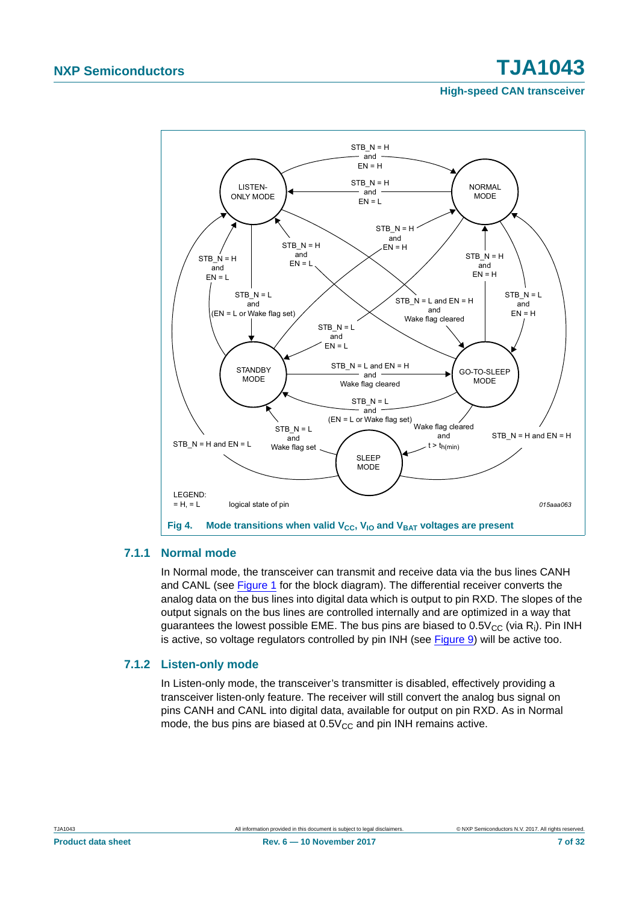**High-speed CAN transceiver**



#### <span id="page-6-1"></span>**7.1.1 Normal mode**

<span id="page-6-0"></span>In Normal mode, the transceiver can transmit and receive data via the bus lines CANH and CANL (see [Figure 1](#page-3-0) for the block diagram). The differential receiver converts the analog data on the bus lines into digital data which is output to pin RXD. The slopes of the output signals on the bus lines are controlled internally and are optimized in a way that guarantees the lowest possible EME. The bus pins are biased to  $0.5V_{CC}$  (via R<sub>i</sub>). Pin INH is active, so voltage regulators controlled by pin INH (see [Figure 9\)](#page-18-0) will be active too.

#### <span id="page-6-2"></span>**7.1.2 Listen-only mode**

In Listen-only mode, the transceiver's transmitter is disabled, effectively providing a transceiver listen-only feature. The receiver will still convert the analog bus signal on pins CANH and CANL into digital data, available for output on pin RXD. As in Normal mode, the bus pins are biased at  $0.5V_{CC}$  and pin INH remains active.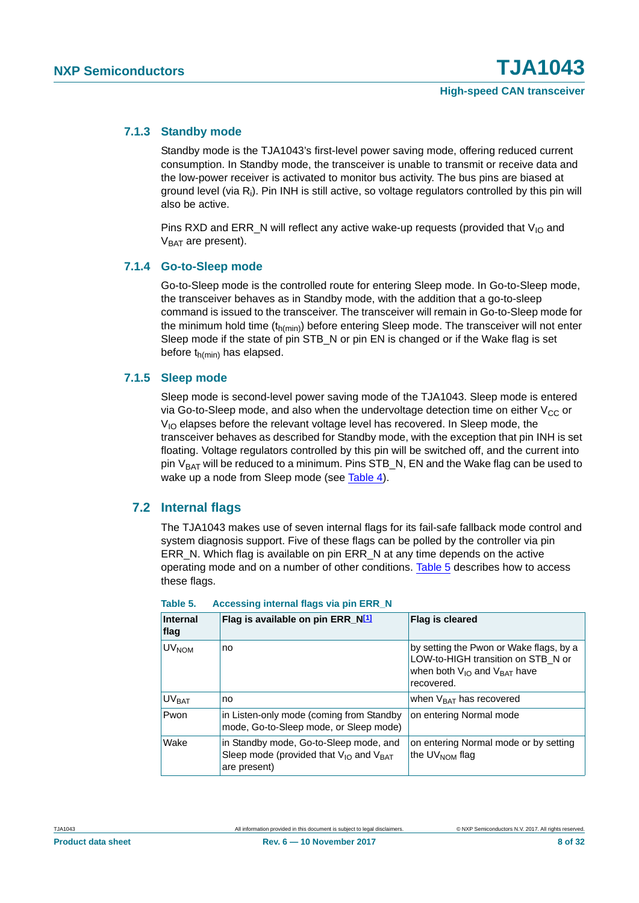#### <span id="page-7-1"></span>**7.1.3 Standby mode**

Standby mode is the TJA1043's first-level power saving mode, offering reduced current consumption. In Standby mode, the transceiver is unable to transmit or receive data and the low-power receiver is activated to monitor bus activity. The bus pins are biased at ground level (via R<sub>i</sub>). Pin INH is still active, so voltage regulators controlled by this pin will also be active.

Pins RXD and ERR\_N will reflect any active wake-up requests (provided that  $V_{1O}$  and  $V_{BAT}$  are present).

#### <span id="page-7-2"></span>**7.1.4 Go-to-Sleep mode**

Go-to-Sleep mode is the controlled route for entering Sleep mode. In Go-to-Sleep mode, the transceiver behaves as in Standby mode, with the addition that a go-to-sleep command is issued to the transceiver. The transceiver will remain in Go-to-Sleep mode for the minimum hold time  $(t_{h(min)})$  before entering Sleep mode. The transceiver will not enter Sleep mode if the state of pin STB\_N or pin EN is changed or if the Wake flag is set before  $t_{h(min)}$  has elapsed.

#### <span id="page-7-3"></span>**7.1.5 Sleep mode**

Sleep mode is second-level power saving mode of the TJA1043. Sleep mode is entered via Go-to-Sleep mode, and also when the undervoltage detection time on either  $V_{CC}$  or  $V_{10}$  elapses before the relevant voltage level has recovered. In Sleep mode, the transceiver behaves as described for Standby mode, with the exception that pin INH is set floating. Voltage regulators controlled by this pin will be switched off, and the current into pin  $V<sub>BAT</sub>$  will be reduced to a minimum. Pins STB  $N$ , EN and the Wake flag can be used to wake up a node from Sleep mode (see [Table 4\)](#page-5-0).

#### <span id="page-7-4"></span>**7.2 Internal flags**

The TJA1043 makes use of seven internal flags for its fail-safe fallback mode control and system diagnosis support. Five of these flags can be polled by the controller via pin ERR N. Which flag is available on pin ERR N at any time depends on the active operating mode and on a number of other conditions. [Table 5](#page-7-0) describes how to access these flags.

| Internal<br><b>flag</b> | Flag is available on pin ERR_N[1]                                                                          | Flag is cleared                                                                                                                      |
|-------------------------|------------------------------------------------------------------------------------------------------------|--------------------------------------------------------------------------------------------------------------------------------------|
| <b>UV<sub>NOM</sub></b> | no                                                                                                         | by setting the Pwon or Wake flags, by a<br>LOW-to-HIGH transition on STB N or<br>when both $V_{1O}$ and $V_{BAT}$ have<br>recovered. |
| <b>UV<sub>RAT</sub></b> | no                                                                                                         | when $V_{\text{BAT}}$ has recovered                                                                                                  |
| Pwon                    | in Listen-only mode (coming from Standby<br>mode, Go-to-Sleep mode, or Sleep mode)                         | on entering Normal mode                                                                                                              |
| Wake                    | in Standby mode, Go-to-Sleep mode, and<br>Sleep mode (provided that $V_{IO}$ and $V_{BAT}$<br>are present) | on entering Normal mode or by setting<br>the $UV_{NOM}$ flag                                                                         |

<span id="page-7-0"></span>

| Table 5. | Accessing internal flags via pin ERR_N |  |  |  |  |  |
|----------|----------------------------------------|--|--|--|--|--|
|----------|----------------------------------------|--|--|--|--|--|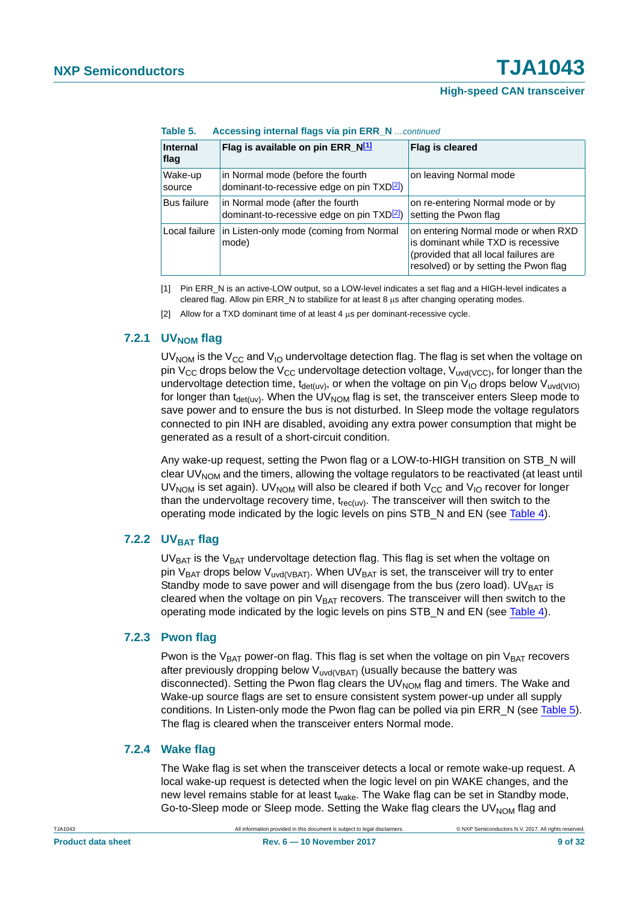**Table 5. Accessing internal flags via pin ERR\_N** *…continued*

| <b>Internal</b><br>flag | Flag is available on pin ERR_N <sup>[1]</sup>                                               | Flag is cleared                                                                                                                                             |  |  |  |
|-------------------------|---------------------------------------------------------------------------------------------|-------------------------------------------------------------------------------------------------------------------------------------------------------------|--|--|--|
| Wake-up<br>source       | in Normal mode (before the fourth<br>dominant-to-recessive edge on pin TXD <sup>[2]</sup> ) | on leaving Normal mode                                                                                                                                      |  |  |  |
| <b>Bus failure</b>      | in Normal mode (after the fourth<br>dominant-to-recessive edge on pin TXD <sup>[2]</sup>    | on re-entering Normal mode or by<br>setting the Pwon flag                                                                                                   |  |  |  |
| Local failure           | in Listen-only mode (coming from Normal<br>mode)                                            | on entering Normal mode or when RXD<br>is dominant while TXD is recessive<br>(provided that all local failures are<br>resolved) or by setting the Pwon flag |  |  |  |

<span id="page-8-0"></span>[1] Pin ERR\_N is an active-LOW output, so a LOW-level indicates a set flag and a HIGH-level indicates a cleared flag. Allow pin  $\textsf{ERR\_N}$  to stabilize for at least 8  $\mu$ s after changing operating modes.

<span id="page-8-1"></span>[2] Allow for a TXD dominant time of at least  $4 \mu s$  per dominant-recessive cycle.

#### <span id="page-8-2"></span>**7.2.1 UVNOM** flag

UV<sub>NOM</sub> is the V<sub>CC</sub> and V<sub>IO</sub> undervoltage detection flag. The flag is set when the voltage on pin V<sub>CC</sub> drops below the V<sub>CC</sub> undervoltage detection voltage, V<sub>uvd(VCC</sub>), for longer than the undervoltage detection time, t<sub>det(uv</sub>), or when the voltage on pin V<sub>IO</sub> drops below V<sub>uvd(VIO)</sub> for longer than  $t_{\text{det}(uv)}$ . When the UV<sub>NOM</sub> flag is set, the transceiver enters Sleep mode to save power and to ensure the bus is not disturbed. In Sleep mode the voltage regulators connected to pin INH are disabled, avoiding any extra power consumption that might be generated as a result of a short-circuit condition.

Any wake-up request, setting the Pwon flag or a LOW-to-HIGH transition on STB\_N will clear  $UV_{\text{NOM}}$  and the timers, allowing the voltage regulators to be reactivated (at least until UV<sub>NOM</sub> is set again). UV<sub>NOM</sub> will also be cleared if both V<sub>CC</sub> and V<sub>IO</sub> recover for longer than the undervoltage recovery time,  $t_{rec(uv)}$ . The transceiver will then switch to the operating mode indicated by the logic levels on pins STB\_N and EN (see [Table 4](#page-5-0)).

#### <span id="page-8-3"></span>**7.2.2 UVBAT flag**

 $UV_{BAT}$  is the  $V_{BAT}$  undervoltage detection flag. This flag is set when the voltage on pin V<sub>BAT</sub> drops below V<sub>uvd(VBAT)</sub>. When UV<sub>BAT</sub> is set, the transceiver will try to enter Standby mode to save power and will disengage from the bus (zero load). UV $_{BAT}$  is cleared when the voltage on pin  $V_{BAT}$  recovers. The transceiver will then switch to the operating mode indicated by the logic levels on pins STB\_N and EN (see [Table 4](#page-5-0)).

#### <span id="page-8-4"></span>**7.2.3 Pwon flag**

Pwon is the  $V_{BAT}$  power-on flag. This flag is set when the voltage on pin  $V_{BAT}$  recovers after previously dropping below  $V_{\text{uvd} \vee \text{BAT}}$  (usually because the battery was disconnected). Setting the Pwon flag clears the UV<sub>NOM</sub> flag and timers. The Wake and Wake-up source flags are set to ensure consistent system power-up under all supply conditions. In Listen-only mode the Pwon flag can be polled via pin ERR N (see [Table 5](#page-7-0)). The flag is cleared when the transceiver enters Normal mode.

#### <span id="page-8-5"></span>**7.2.4 Wake flag**

The Wake flag is set when the transceiver detects a local or remote wake-up request. A local wake-up request is detected when the logic level on pin WAKE changes, and the new level remains stable for at least  $t_{\text{wake}}$ . The Wake flag can be set in Standby mode, Go-to-Sleep mode or Sleep mode. Setting the Wake flag clears the UV<sub>NOM</sub> flag and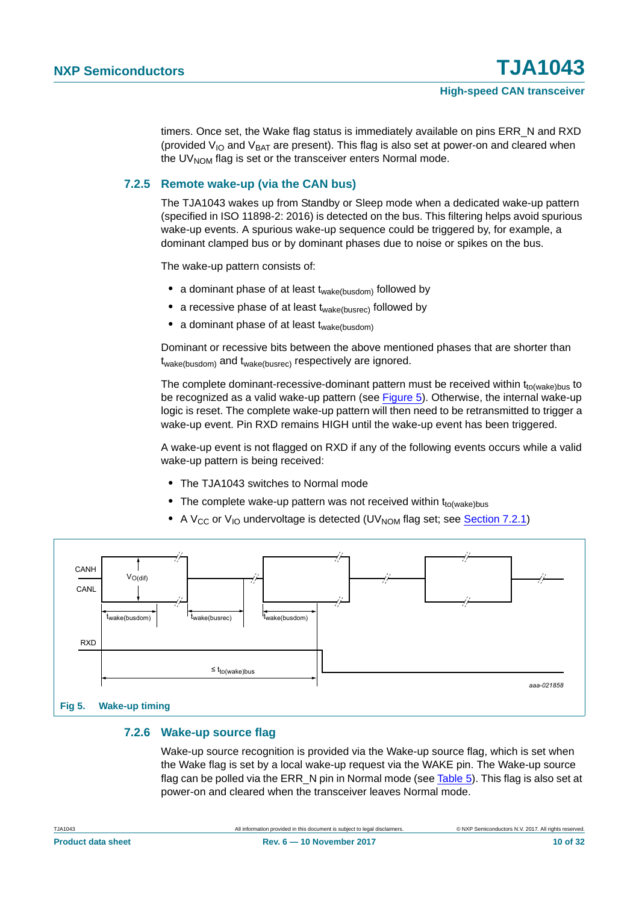timers. Once set, the Wake flag status is immediately available on pins ERR\_N and RXD (provided  $V_{IO}$  and  $V_{BAT}$  are present). This flag is also set at power-on and cleared when the UV $_{\text{NOM}}$  flag is set or the transceiver enters Normal mode.

#### <span id="page-9-1"></span>**7.2.5 Remote wake-up (via the CAN bus)**

The TJA1043 wakes up from Standby or Sleep mode when a dedicated wake-up pattern (specified in ISO 11898-2: 2016) is detected on the bus. This filtering helps avoid spurious wake-up events. A spurious wake-up sequence could be triggered by, for example, a dominant clamped bus or by dominant phases due to noise or spikes on the bus.

The wake-up pattern consists of:

- a dominant phase of at least t<sub>wake(busdom)</sub> followed by
- a recessive phase of at least t<sub>wake(busrec)</sub> followed by
- a dominant phase of at least t<sub>wake(busdom)</sub>

Dominant or recessive bits between the above mentioned phases that are shorter than twake(busdom) and twake(busrec) respectively are ignored.

The complete dominant-recessive-dominant pattern must be received within  $t_{to(wake)bus}$  to be recognized as a valid wake-up pattern (see [Figure 5](#page-9-0)). Otherwise, the internal wake-up logic is reset. The complete wake-up pattern will then need to be retransmitted to trigger a wake-up event. Pin RXD remains HIGH until the wake-up event has been triggered.

A wake-up event is not flagged on RXD if any of the following events occurs while a valid wake-up pattern is being received:

- **•** The TJA1043 switches to Normal mode
- The complete wake-up pattern was not received within t<sub>to(wake)bus</sub>
- A V<sub>CC</sub> or V<sub>IO</sub> undervoltage is detected (UV<sub>NOM</sub> flag set; see [Section 7.2.1\)](#page-8-2)



#### <span id="page-9-2"></span><span id="page-9-0"></span>**7.2.6 Wake-up source flag**

Wake-up source recognition is provided via the Wake-up source flag, which is set when the Wake flag is set by a local wake-up request via the WAKE pin. The Wake-up source flag can be polled via the ERR, N pin in Normal mode (see [Table 5\)](#page-7-0). This flag is also set at power-on and cleared when the transceiver leaves Normal mode.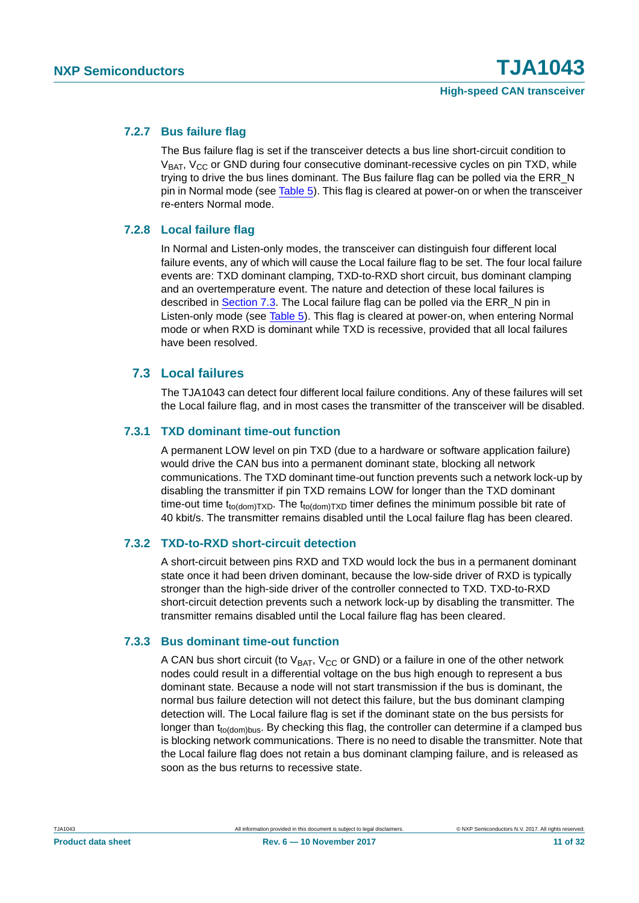#### <span id="page-10-1"></span>**7.2.7 Bus failure flag**

The Bus failure flag is set if the transceiver detects a bus line short-circuit condition to  $V<sub>BAT</sub>$ ,  $V<sub>CC</sub>$  or GND during four consecutive dominant-recessive cycles on pin TXD, while trying to drive the bus lines dominant. The Bus failure flag can be polled via the ERR\_N pin in Normal mode (see [Table 5](#page-7-0)). This flag is cleared at power-on or when the transceiver re-enters Normal mode.

#### <span id="page-10-2"></span>**7.2.8 Local failure flag**

In Normal and Listen-only modes, the transceiver can distinguish four different local failure events, any of which will cause the Local failure flag to be set. The four local failure events are: TXD dominant clamping, TXD-to-RXD short circuit, bus dominant clamping and an overtemperature event. The nature and detection of these local failures is described in [Section 7.3.](#page-10-0) The Local failure flag can be polled via the ERR\_N pin in Listen-only mode (see [Table 5](#page-7-0)). This flag is cleared at power-on, when entering Normal mode or when RXD is dominant while TXD is recessive, provided that all local failures have been resolved.

#### <span id="page-10-0"></span>**7.3 Local failures**

The TJA1043 can detect four different local failure conditions. Any of these failures will set the Local failure flag, and in most cases the transmitter of the transceiver will be disabled.

#### <span id="page-10-3"></span>**7.3.1 TXD dominant time-out function**

A permanent LOW level on pin TXD (due to a hardware or software application failure) would drive the CAN bus into a permanent dominant state, blocking all network communications. The TXD dominant time-out function prevents such a network lock-up by disabling the transmitter if pin TXD remains LOW for longer than the TXD dominant time-out time t<sub>to(dom)TXD</sub>. The t<sub>to(dom)TXD</sub> timer defines the minimum possible bit rate of 40 kbit/s. The transmitter remains disabled until the Local failure flag has been cleared.

#### <span id="page-10-4"></span>**7.3.2 TXD-to-RXD short-circuit detection**

A short-circuit between pins RXD and TXD would lock the bus in a permanent dominant state once it had been driven dominant, because the low-side driver of RXD is typically stronger than the high-side driver of the controller connected to TXD. TXD-to-RXD short-circuit detection prevents such a network lock-up by disabling the transmitter. The transmitter remains disabled until the Local failure flag has been cleared.

#### <span id="page-10-5"></span>**7.3.3 Bus dominant time-out function**

A CAN bus short circuit (to  $V_{BAT}$ ,  $V_{CC}$  or GND) or a failure in one of the other network nodes could result in a differential voltage on the bus high enough to represent a bus dominant state. Because a node will not start transmission if the bus is dominant, the normal bus failure detection will not detect this failure, but the bus dominant clamping detection will. The Local failure flag is set if the dominant state on the bus persists for longer than t<sub>to(dom)bus</sub>. By checking this flag, the controller can determine if a clamped bus is blocking network communications. There is no need to disable the transmitter. Note that the Local failure flag does not retain a bus dominant clamping failure, and is released as soon as the bus returns to recessive state.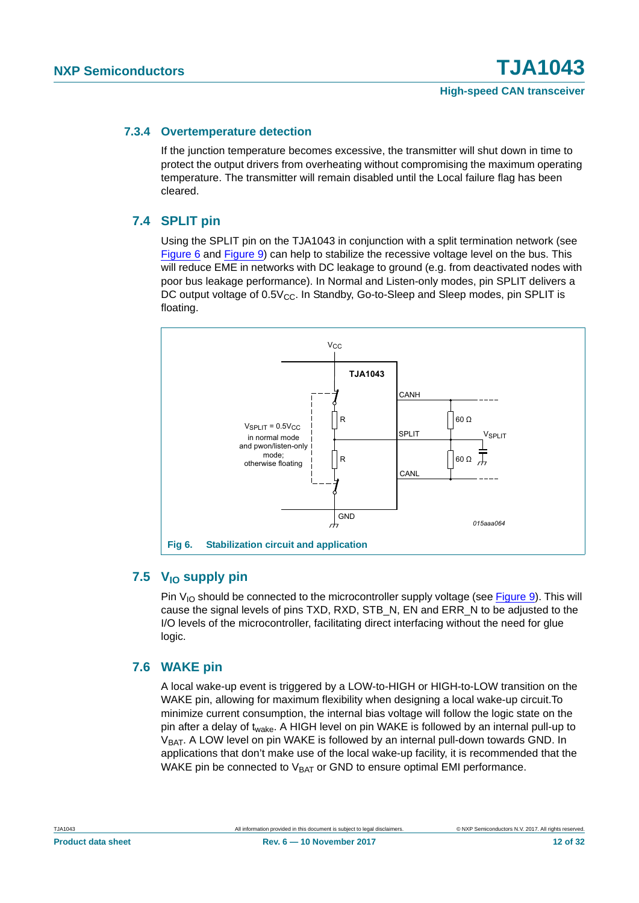#### <span id="page-11-1"></span>**7.3.4 Overtemperature detection**

If the junction temperature becomes excessive, the transmitter will shut down in time to protect the output drivers from overheating without compromising the maximum operating temperature. The transmitter will remain disabled until the Local failure flag has been cleared.

#### <span id="page-11-2"></span>**7.4 SPLIT pin**

Using the SPLIT pin on the TJA1043 in conjunction with a split termination network (see [Figure 6](#page-11-0) and [Figure 9\)](#page-18-0) can help to stabilize the recessive voltage level on the bus. This will reduce EME in networks with DC leakage to ground (e.g. from deactivated nodes with poor bus leakage performance). In Normal and Listen-only modes, pin SPLIT delivers a DC output voltage of  $0.5V_{CC}$ . In Standby, Go-to-Sleep and Sleep modes, pin SPLIT is floating.



#### <span id="page-11-3"></span><span id="page-11-0"></span>7.5 V<sub>IO</sub> supply pin

Pin  $V_{10}$  should be connected to the microcontroller supply voltage (see [Figure 9\)](#page-18-0). This will cause the signal levels of pins TXD, RXD, STB\_N, EN and ERR\_N to be adjusted to the I/O levels of the microcontroller, facilitating direct interfacing without the need for glue logic.

#### <span id="page-11-4"></span>**7.6 WAKE pin**

A local wake-up event is triggered by a LOW-to-HIGH or HIGH-to-LOW transition on the WAKE pin, allowing for maximum flexibility when designing a local wake-up circuit.To minimize current consumption, the internal bias voltage will follow the logic state on the pin after a delay of t<sub>wake</sub>. A HIGH level on pin WAKE is followed by an internal pull-up to  $V<sub>BAT</sub>$ . A LOW level on pin WAKE is followed by an internal pull-down towards GND. In applications that don't make use of the local wake-up facility, it is recommended that the WAKE pin be connected to  $V_{BAT}$  or GND to ensure optimal EMI performance.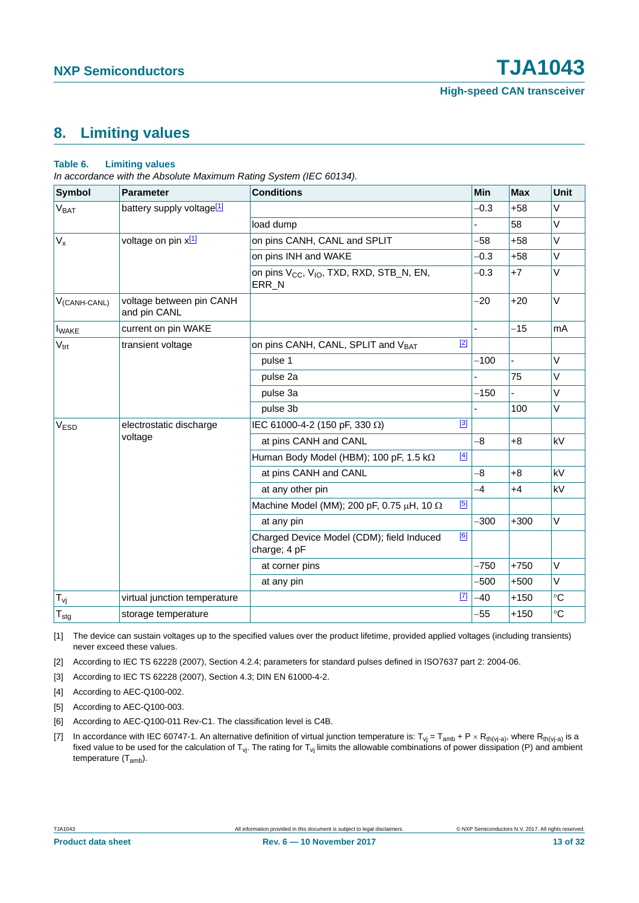### <span id="page-12-7"></span>**8. Limiting values**

#### **Table 6. Limiting values**

*In accordance with the Absolute Maximum Rating System (IEC 60134).*

| Symbol                   | <b>Parameter</b>                         | <b>Conditions</b>                                                                    |       | Min    | <b>Max</b>     | Unit            |
|--------------------------|------------------------------------------|--------------------------------------------------------------------------------------|-------|--------|----------------|-----------------|
| <b>V<sub>BAT</sub></b>   | battery supply voltage <sup>[1]</sup>    |                                                                                      |       | $-0.3$ | $+58$          | V               |
|                          |                                          | load dump                                                                            |       |        | 58             | $\vee$          |
| $V_{x}$                  | voltage on pin x[1]                      | on pins CANH, CANL and SPLIT                                                         |       | $-58$  | $+58$          | $\vee$          |
|                          |                                          | on pins INH and WAKE                                                                 |       | $-0.3$ | $+58$          | V               |
|                          |                                          | on pins V <sub>CC</sub> , V <sub>IO</sub> , TXD, RXD, STB_N, EN,<br>ERR <sub>N</sub> |       | $-0.3$ | $+7$           | $\vee$          |
| V <sub>(CANH-CANL)</sub> | voltage between pin CANH<br>and pin CANL |                                                                                      |       | $-20$  | $+20$          | $\vee$          |
| <b>I</b> WAKE            | current on pin WAKE                      |                                                                                      |       |        | $-15$          | mA              |
| $V_{\text{trt}}$         | transient voltage                        | on pins CANH, CANL, SPLIT and VBAT                                                   | $[2]$ |        |                |                 |
|                          |                                          | pulse 1                                                                              |       | $-100$ | $\overline{a}$ | $\vee$          |
|                          |                                          | pulse 2a                                                                             |       |        | 75             | $\vee$          |
|                          |                                          | pulse 3a                                                                             |       | $-150$ |                | $\vee$          |
|                          |                                          | pulse 3b                                                                             |       |        | 100            | V               |
| V <sub>ESD</sub>         | electrostatic discharge<br>voltage       | IEC 61000-4-2 (150 pF, 330 $\Omega$ )                                                | $[3]$ |        |                |                 |
|                          |                                          | at pins CANH and CANL                                                                |       | $-8$   | $+8$           | kV              |
|                          |                                          | Human Body Model (HBM); 100 pF, 1.5 k $\Omega$                                       | $[4]$ |        |                |                 |
|                          |                                          | at pins CANH and CANL                                                                |       | -8     | $+8$           | kV              |
|                          |                                          | at any other pin                                                                     |       | $-4$   | $+4$           | kV              |
|                          |                                          | Machine Model (MM); 200 pF, 0.75 $\mu$ H, 10 $\Omega$                                | $[5]$ |        |                |                 |
|                          |                                          | at any pin                                                                           |       | $-300$ | $+300$         | V               |
|                          |                                          | Charged Device Model (CDM); field Induced<br>charge; 4 pF                            | [6]   |        |                |                 |
|                          |                                          | at corner pins                                                                       |       | $-750$ | $+750$         | $\vee$          |
|                          |                                          | at any pin                                                                           |       | $-500$ | $+500$         | $\vee$          |
| $T_{\nu i}$              | virtual junction temperature             |                                                                                      | $[7]$ | -40    | $+150$         | $\rm ^{\circ}C$ |
| $T_{\text{stg}}$         | storage temperature                      |                                                                                      |       | $-55$  | $+150$         | $\rm ^{\circ}C$ |

<span id="page-12-0"></span>[1] The device can sustain voltages up to the specified values over the product lifetime, provided applied voltages (including transients) never exceed these values.

<span id="page-12-6"></span>[2] According to IEC TS 62228 (2007), Section 4.2.4; parameters for standard pulses defined in ISO7637 part 2: 2004-06.

<span id="page-12-1"></span>[3] According to IEC TS 62228 (2007), Section 4.3; DIN EN 61000-4-2.

<span id="page-12-2"></span>[4] According to AEC-Q100-002.

<span id="page-12-3"></span>[5] According to AEC-Q100-003.

<span id="page-12-4"></span>[6] According to AEC-Q100-011 Rev-C1. The classification level is C4B.

<span id="page-12-5"></span>[7] In accordance with IEC 60747-1. An alternative definition of virtual junction temperature is: T<sub>Vj</sub> = T<sub>amb</sub> + P × R<sub>th(Vj-a)</sub>, where R<sub>th(Vj-a</sub>) is a fixed value to be used for the calculation of T<sub>vj</sub>. The rating for T<sub>vj</sub> limits the allowable combinations of power dissipation (P) and ambient temperature (T<sub>amb</sub>).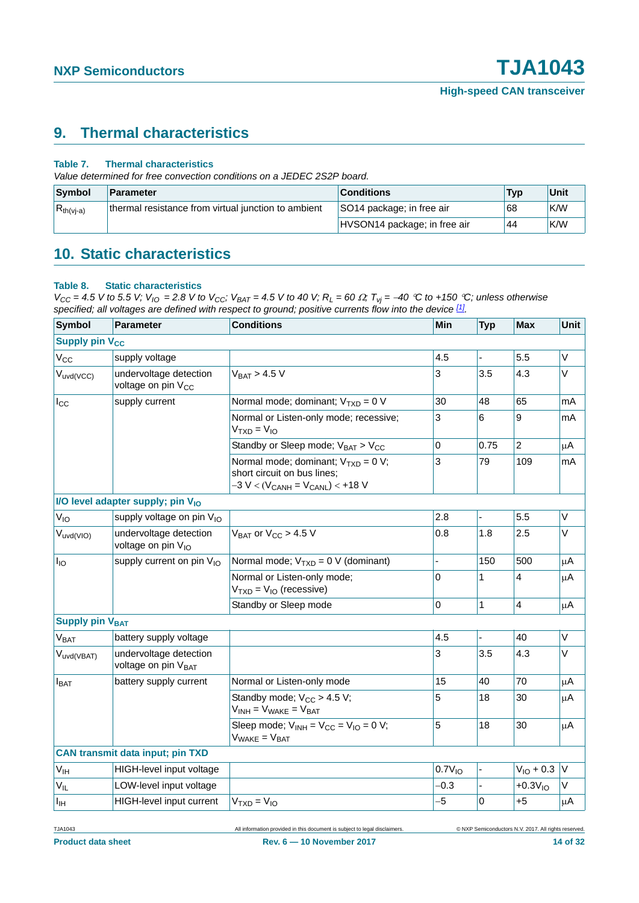### <span id="page-13-1"></span>**9. Thermal characteristics**

#### **Table 7. Thermal characteristics**

*Value determined for free convection conditions on a JEDEC 2S2P board.*

| Symbol         | Parameter                                           | <b>Conditions</b>            | <b>Typ</b> | Unit |
|----------------|-----------------------------------------------------|------------------------------|------------|------|
| $R_{th(vj-a)}$ | thermal resistance from virtual junction to ambient | SO14 package; in free air    | 68         | K/W  |
|                |                                                     | HVSON14 package; in free air | 44         | ⊩K/W |

### <span id="page-13-2"></span>**10. Static characteristics**

#### <span id="page-13-0"></span>**Table 8. Static characteristics**

 $V_{CC}$  = 4.5 V to 5.5 V;  $V_{IO}$  = 2.8 V to  $V_{CC}$ ;  $V_{BAT}$  = 4.5 V to 40 V;  $R_L$  = 60  $\Omega$ ;  $T_{Vj}$  = -40 °C to +150 °C; unless otherwise *specified; all voltages are defined with respect to ground; positive currents flow into the device [\[1\]](#page-16-0).*

| <b>Symbol</b>                    | <b>Parameter</b>                                          | <b>Conditions</b>                                                                                                 | <b>Min</b>         | <b>Typ</b>     | Max            | <b>Unit</b>  |
|----------------------------------|-----------------------------------------------------------|-------------------------------------------------------------------------------------------------------------------|--------------------|----------------|----------------|--------------|
| <b>Supply pin V<sub>CC</sub></b> |                                                           |                                                                                                                   |                    |                |                |              |
| $V_{\rm CC}$                     | supply voltage                                            |                                                                                                                   | 4.5                |                | 5.5            | V            |
| $V_{uvd(VCC)}$                   | undervoltage detection<br>voltage on pin V <sub>CC</sub>  | $V_{BAT}$ > 4.5 V                                                                                                 | 3                  | 3.5            | 4.3            | V            |
| $I_{\rm CC}$                     | supply current                                            | Normal mode; dominant; $V_{TXD} = 0$ V                                                                            | 30                 | 48             | 65             | mA           |
|                                  |                                                           | Normal or Listen-only mode; recessive;<br>$VTXD = VIO$                                                            | 3                  | 6              | 9              | mA           |
|                                  |                                                           | Standby or Sleep mode; $V_{BAT} > V_{CC}$                                                                         | $\mathbf 0$        | 0.75           | $\overline{2}$ | μA           |
|                                  |                                                           | Normal mode; dominant; $V_{TXD} = 0 V$ ;<br>short circuit on bus lines;<br>$-3 V < (V_{CANH} = V_{CANL}) < +18 V$ | 3                  | 79             | 109            | mA           |
|                                  | I/O level adapter supply; pin V <sub>IO</sub>             |                                                                                                                   |                    |                |                |              |
| $V_{IO}$                         | supply voltage on pin V <sub>IO</sub>                     |                                                                                                                   | 2.8                |                | 5.5            | V            |
| $V_{uvd(VIO)}$                   | undervoltage detection<br>voltage on pin V <sub>IO</sub>  | $V_{BAT}$ or $V_{CC}$ > 4.5 V                                                                                     | 0.8                | 1.8            | 2.5            | V            |
| $I_{IO}$                         | supply current on pin V <sub>IO</sub>                     | Normal mode; $V_{TXD} = 0$ V (dominant)                                                                           | $\overline{a}$     | 150            | 500            | μA           |
|                                  |                                                           | Normal or Listen-only mode;<br>$VTXD = VIO$ (recessive)                                                           | 0                  | 1              | 4              | μA           |
|                                  |                                                           | Standby or Sleep mode                                                                                             | 0                  | $\mathbf{1}$   | $\overline{4}$ | $\mu$ A      |
| <b>Supply pin VBAT</b>           |                                                           |                                                                                                                   |                    |                |                |              |
| V <sub>BAT</sub>                 | battery supply voltage                                    |                                                                                                                   | 4.5                |                | 40             | V            |
| Vuvd(VBAT)                       | undervoltage detection<br>voltage on pin V <sub>BAT</sub> |                                                                                                                   | 3                  | 3.5            | 4.3            | $\mathsf{V}$ |
| $I_{BAT}$                        | battery supply current                                    | Normal or Listen-only mode                                                                                        | 15                 | 40             | 70             | μA           |
|                                  |                                                           | Standby mode; $V_{CC}$ > 4.5 V;<br>$V_{INH} = V_{WAKE} = V_{BAT}$                                                 | 5                  | 18             | 30             | μA           |
|                                  |                                                           | Sleep mode; $V_{INH} = V_{CC} = V_{IO} = 0 V$ ;<br>$V_{\text{WAKE}} = V_{\text{BAT}}$                             | $\overline{5}$     | 18             | 30             | $\mu$ A      |
|                                  | <b>CAN transmit data input; pin TXD</b>                   |                                                                                                                   |                    |                |                |              |
| V <sub>IH</sub>                  | HIGH-level input voltage                                  |                                                                                                                   | 0.7V <sub>10</sub> | ÷,             | $V_{10} + 0.3$ | $\mathsf{V}$ |
| $V_{IL}$                         | LOW-level input voltage                                   |                                                                                                                   | $-0.3$             | $\overline{a}$ | $+0.3V10$      | V            |
| Iщ                               | HIGH-level input current                                  | $VTXD = VIO$                                                                                                      | -5                 | 0              | $+5$           | μA           |
|                                  |                                                           |                                                                                                                   |                    |                |                |              |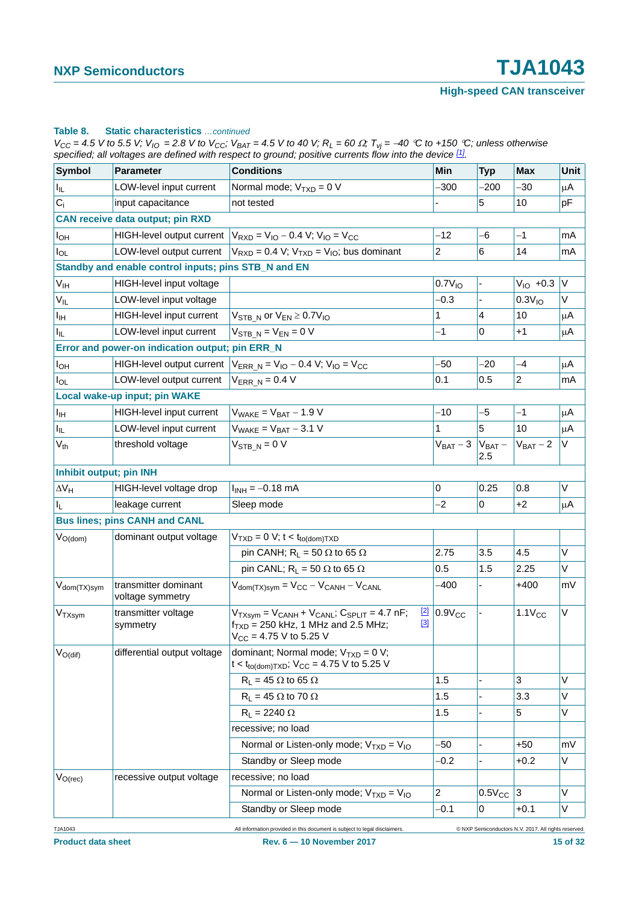#### **Table 8. Static characteristics** *…continued*

 $V_{CC}$  = 4.5 V to 5.5 V;  $V_{IO}$  = 2.8 V to  $V_{CC}$ ;  $V_{BAT}$  = 4.5 V to 40 V;  $R_L$  = 60  $\Omega$ ;  $T_{Vj}$  = -40 °C to +150 °C; unless otherwise *specified; all voltages are defined with respect to ground; positive currents flow into the device [1].*

| <b>Symbol</b>            | <b>Parameter</b>                                     | <b>Conditions</b>                                                                                                                                           | Min                      | <b>Typ</b>               | <b>Max</b>           | Unit         |  |
|--------------------------|------------------------------------------------------|-------------------------------------------------------------------------------------------------------------------------------------------------------------|--------------------------|--------------------------|----------------------|--------------|--|
| $I_{\rm IL}$             | LOW-level input current                              | Normal mode; $V_{TXD} = 0 V$                                                                                                                                | $-300$                   | $-200$                   | $-30$                | μA           |  |
| $C_i$                    | input capacitance                                    | not tested                                                                                                                                                  |                          | 5                        | 10                   | рF           |  |
|                          | <b>CAN receive data output; pin RXD</b>              |                                                                                                                                                             |                          |                          |                      |              |  |
| $I_{OH}$                 | <b>HIGH-level output current</b>                     | $V_{RXD} = V_{10} - 0.4 V$ ; $V_{10} = V_{CC}$                                                                                                              | $-12$                    | $-6$                     | $-1$                 | mA           |  |
| $I_{OL}$                 | LOW-level output current                             | $V_{RXD} = 0.4 V$ ; $V_{TXD} = V_{IO}$ ; bus dominant                                                                                                       | 2                        | 6                        | 14                   | mA           |  |
|                          | Standby and enable control inputs; pins STB_N and EN |                                                                                                                                                             |                          |                          |                      |              |  |
| V <sub>IH</sub>          | HIGH-level input voltage                             |                                                                                                                                                             | $0.7V_{10}$              |                          | $V_{\text{IO}}$ +0.3 | $\mathsf{V}$ |  |
| $V_{IL}$                 | LOW-level input voltage                              |                                                                                                                                                             | $-0.3$                   |                          | 0.3V <sub>10</sub>   | V            |  |
| $I_{\text{IH}}$          | HIGH-level input current                             | $V_{\text{STB N}}$ or $V_{\text{EN}} \geq 0.7 V_{\text{IO}}$                                                                                                | 1                        | 4                        | 10                   | μA           |  |
| $I_{IL}$                 | LOW-level input current                              | $V_{STB N} = V_{EN} = 0 V$                                                                                                                                  | $-1$                     | 0                        | $+1$                 | μA           |  |
|                          | Error and power-on indication output; pin ERR_N      |                                                                                                                                                             |                          |                          |                      |              |  |
| $I_{OH}$                 | <b>HIGH-level output current</b>                     | $V_{ERR N} = V_{IO} - 0.4 V$ ; $V_{IO} = V_{CC}$                                                                                                            | $-50$                    | $-20$                    | $-4$                 | μA           |  |
| $I_{OL}$                 | LOW-level output current                             | $V_{ERR N} = 0.4 V$                                                                                                                                         | 0.1                      | 0.5                      | $\overline{a}$       | mA           |  |
|                          | Local wake-up input; pin WAKE                        |                                                                                                                                                             |                          |                          |                      |              |  |
| $I_{\text{IH}}$          | HIGH-level input current                             | $V_{\text{WAKE}} = V_{\text{BAT}} - 1.9 V$                                                                                                                  | $-10$                    | $-5$                     | $-1$                 | μA           |  |
| ΙL.                      | LOW-level input current                              | $V_{\text{WAKE}} = V_{\text{BAT}} - 3.1 V$                                                                                                                  | 1                        | 5                        | 10                   | μA           |  |
| $V_{th}$                 | threshold voltage                                    | $V_{STB N} = 0 V$                                                                                                                                           | $V_{BAT} - 3  V_{BAT} -$ | 2.5                      | $V_{BAT} - 2$        | V            |  |
| Inhibit output; pin INH  |                                                      |                                                                                                                                                             |                          |                          |                      |              |  |
| $\Delta V_H$             | HIGH-level voltage drop                              | $I_{INH} = -0.18$ mA                                                                                                                                        | 0                        | 0.25                     | 0.8                  | V            |  |
| $I_L$                    | leakage current                                      | Sleep mode                                                                                                                                                  | $-2$                     | 0                        | $+2$                 | μA           |  |
|                          | <b>Bus lines; pins CANH and CANL</b>                 |                                                                                                                                                             |                          |                          |                      |              |  |
| $V_{O(dom)}$             | dominant output voltage                              | $VTXD = 0 V; t < tto(dom)TXD$                                                                                                                               |                          |                          |                      |              |  |
|                          |                                                      | pin CANH; $R_L = 50 \Omega$ to 65 $\Omega$                                                                                                                  | 2.75                     | 3.5                      | 4.5                  | V            |  |
|                          |                                                      | pin CANL; $R_L = 50 \Omega$ to 65 $\Omega$                                                                                                                  | 0.5                      | 1.5                      | 2.25                 | V            |  |
| V <sub>dom</sub> (TX)sym | transmitter dominant<br>voltage symmetry             | $V_{\text{dom(TX)sym}} = V_{\text{CC}} - V_{\text{CANH}} - V_{\text{CANL}}$                                                                                 | $-400$                   | $\overline{\phantom{a}}$ | $+400$               | mV           |  |
| V <sub>TXsym</sub>       | transmitter voltage<br>symmetry                      | $V_{TXsym} = V_{CANH} + V_{CANL}$ ; $C_{SPLIT} = 4.7$ nF;<br>$\boxed{2}$<br>$[3]$<br>$f_{TXD}$ = 250 kHz, 1 MHz and 2.5 MHz;<br>$V_{CC}$ = 4.75 V to 5.25 V | $0.9V_{CC}$              |                          | $1.1V_{CC}$          | V            |  |
| $V_{O(di)}$              | differential output voltage                          | dominant; Normal mode; $V_{TXD} = 0 V$ ;<br>$t < t_{to (dom) TXD}$ ; V <sub>CC</sub> = 4.75 V to 5.25 V                                                     |                          |                          |                      |              |  |
|                          |                                                      | $R_L = 45 \Omega$ to 65 $\Omega$                                                                                                                            | 1.5                      | L                        | 3                    | V            |  |
|                          |                                                      | $R_L$ = 45 $\Omega$ to 70 $\Omega$                                                                                                                          | 1.5                      |                          | 3.3                  | V            |  |
|                          |                                                      | $R_L = 2240 \Omega$                                                                                                                                         | 1.5                      |                          | 5                    | V            |  |
|                          |                                                      | recessive; no load                                                                                                                                          |                          |                          |                      |              |  |
|                          |                                                      | Normal or Listen-only mode; $V_{TXD} = V_{IO}$                                                                                                              | $-50$                    |                          | $+50$                | mV           |  |
|                          |                                                      | Standby or Sleep mode                                                                                                                                       | $-0.2$                   |                          | $+0.2$               | V            |  |
| $V_{O(rec)}$             | recessive output voltage                             | recessive; no load                                                                                                                                          |                          |                          |                      |              |  |
|                          |                                                      | Normal or Listen-only mode; $V_{TXD} = V_{IO}$                                                                                                              | $\overline{a}$           | $0.5V_{CC}$              | 3                    | V            |  |
|                          |                                                      | Standby or Sleep mode                                                                                                                                       | $-0.1$                   | 0                        | $+0.1$               | V            |  |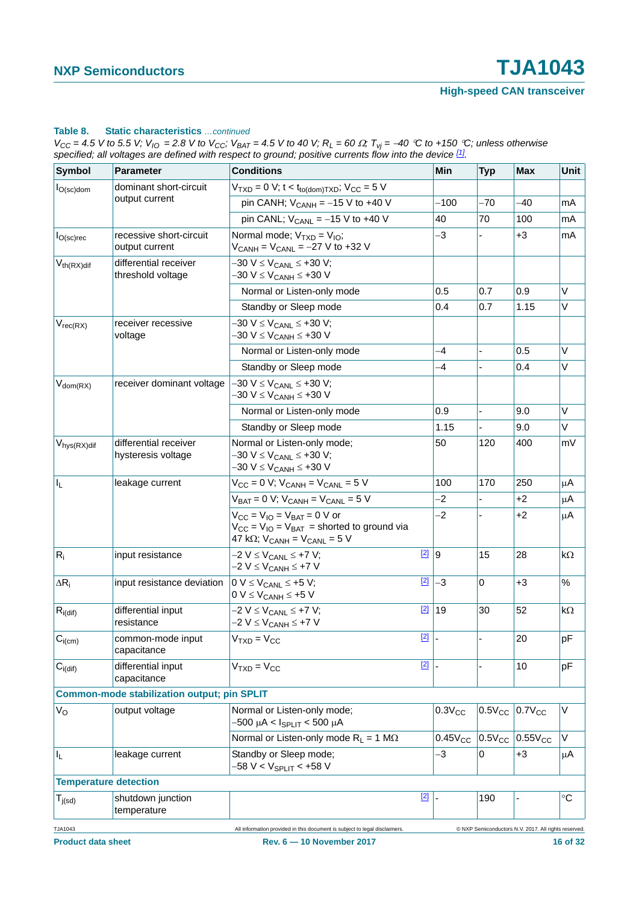#### **Table 8. Static characteristics** *…continued*

 $V_{CC}$  = 4.5 V to 5.5 V;  $V_{IO}$  = 2.8 V to  $V_{CC}$ ;  $V_{BAT}$  = 4.5 V to 40 V;  $R_L$  = 60  $\Omega$ ;  $T_{Vj}$  = -40 °C to +150 °C; unless otherwise *specified; all voltages are defined with respect to ground; positive currents flow into the device [1].*

| <b>Symbol</b>                               | <b>Parameter</b>                                   | <b>Conditions</b>                                                                                                                                          | <b>Min</b>              | <b>Typ</b>     | <b>Max</b>                                          | Unit        |
|---------------------------------------------|----------------------------------------------------|------------------------------------------------------------------------------------------------------------------------------------------------------------|-------------------------|----------------|-----------------------------------------------------|-------------|
| $I_{O(\rm sc)$ dom                          | dominant short-circuit                             | $V_{TXD} = 0$ V; t < t <sub>to(dom)TXD</sub> ; V <sub>CC</sub> = 5 V                                                                                       |                         |                |                                                     |             |
|                                             | output current                                     | pin CANH; $V_{CANH} = -15 V$ to +40 V                                                                                                                      | $-100$                  | $-70$          | -40                                                 | mA          |
|                                             |                                                    | pin CANL; $V_{CANL} = -15$ V to +40 V                                                                                                                      | 40                      | 70             | 100                                                 | mA          |
| $ I_{\mathrm{O}(\mathrm{sc})\mathrm{rec}} $ | recessive short-circuit<br>output current          | $-3$<br>Normal mode; $V_{TXD} = V_{IO}$ ;<br>$V_{CANH} = V_{CANL} = -27 V$ to +32 V                                                                        |                         |                | $+3$                                                | mA          |
| $V_{th(RX)dif}$                             | differential receiver<br>threshold voltage         | $-30 V \leq V_{CANL} \leq +30 V;$<br>–30 V ≤ V <sub>CANH</sub> ≤ +30 V                                                                                     |                         |                |                                                     |             |
|                                             |                                                    | Normal or Listen-only mode                                                                                                                                 | 0.5                     | 0.7            | 0.9                                                 | V           |
|                                             |                                                    | Standby or Sleep mode                                                                                                                                      | 0.4                     | 0.7            | 1.15                                                | V           |
| $V_{rec(RX)}$                               | receiver recessive<br>voltage                      | -30 V ≤ V <sub>CANL</sub> ≤ +30 V;<br>-30 V ≤ V <sub>CANH</sub> ≤ +30 V                                                                                    |                         |                |                                                     |             |
|                                             |                                                    | Normal or Listen-only mode                                                                                                                                 | $-4$                    | $\overline{a}$ | 0.5                                                 | V           |
|                                             |                                                    | Standby or Sleep mode                                                                                                                                      | $-4$                    |                | 0.4                                                 | V           |
| $V_{dom(RX)}$                               | receiver dominant voltage                          | -30 V ≤ V <sub>CANL</sub> ≤ +30 V;<br>-30 V ≤ V <sub>CANH</sub> ≤ +30 V                                                                                    |                         |                |                                                     |             |
|                                             |                                                    | Normal or Listen-only mode                                                                                                                                 | 0.9                     | ä,             | 9.0                                                 | V           |
|                                             |                                                    | Standby or Sleep mode                                                                                                                                      | 1.15                    |                | 9.0                                                 | V           |
| $V_{\text{hys}(RX)}$ dif                    | differential receiver<br>hysteresis voltage        | Normal or Listen-only mode;<br>–30 V ≤ V <sub>CANL</sub> ≤ +30 V;<br>–30 V ≤ V <sub>CANH</sub> ≤ +30 V                                                     | 50                      | 120            | 400                                                 | mV          |
| ΙL                                          | leakage current                                    | $V_{CC} = 0$ V; $V_{CANH} = V_{CANL} = 5$ V                                                                                                                | 100                     | 170            | 250                                                 | μA          |
|                                             |                                                    | $V_{BAT} = 0 V$ ; $V_{CANH} = V_{CANL} = 5 V$                                                                                                              | $-2$                    |                | $+2$                                                | μA          |
|                                             |                                                    | $V_{CC} = V_{IO} = V_{BAT} = 0$ V or<br>$V_{CC} = V_{IO} = V_{BAT}$ = shorted to ground via<br>47 k $\Omega$ ; V <sub>CANH</sub> = V <sub>CANL</sub> = 5 V | $-2$                    |                | $+2$                                                | μA          |
| $R_i$                                       | input resistance                                   | $-2$ V $\leq$ V <sub>CANL</sub> $\leq$ +7 V;<br>–2 V ≤ V <sub>CANH</sub> ≤ +7 V                                                                            | $2$ 9                   | 15             | 28                                                  | kΩ          |
| $\Delta R_i$                                | input resistance deviation                         | $\boxed{2}$<br>$0 V \leq V_{CANL} \leq +5 V;$<br>$0 V \leq V_{CANH} \leq +5 V$                                                                             | $-3$                    | 0              | $+3$                                                | $\%$        |
| $R_{i(dif)}$                                | differential input<br>resistance                   | [2]<br>$-2 V \leq V_{CANL} \leq +7 V;$<br>–2 V ≤ V <sub>CANH</sub> ≤ +7 V                                                                                  | 19                      | 30             | 52                                                  | $k\Omega$   |
| $ C_{i(cm)}$                                | common-mode input<br>capacitance                   | $VTXD = VCC$                                                                                                                                               | $\boxed{2}$ $\boxed{2}$ |                | 20                                                  | pF          |
| $C_{i(di)}$                                 | differential input<br>capacitance                  | $[2]$<br>$VTXD = VCC$                                                                                                                                      |                         |                | 10                                                  | pF          |
|                                             | <b>Common-mode stabilization output; pin SPLIT</b> |                                                                                                                                                            |                         |                |                                                     |             |
| $V_{\rm O}$                                 | output voltage                                     | Normal or Listen-only mode;<br>-500 μA < I <sub>SPLIT</sub> < 500 μA                                                                                       | $0.3V_{CC}$             |                | $0.5V_{CC}$ 0.7 $V_{CC}$                            | V           |
|                                             |                                                    | Normal or Listen-only mode $R_L = 1 M\Omega$                                                                                                               | $0.45V_{CC}$            |                | $0.5V_{CC}$ 0.55 $V_{CC}$                           | V           |
| $ I_L $                                     | leakage current                                    | Standby or Sleep mode;<br>$-58 V < V_{\rm SPLIT} < +58 V$                                                                                                  | $-3$                    | 0              | $+3$                                                | μA          |
| <b>Temperature detection</b>                |                                                    |                                                                                                                                                            |                         |                |                                                     |             |
| $T_{j(sd)}$                                 | shutdown junction<br>temperature                   | $[2]$                                                                                                                                                      |                         | 190            |                                                     | $^{\circ}C$ |
| TJA1043                                     |                                                    | All information provided in this document is subject to legal disclaimers                                                                                  |                         |                | C NXP Semiconductors N.V. 2017. All rights reserved |             |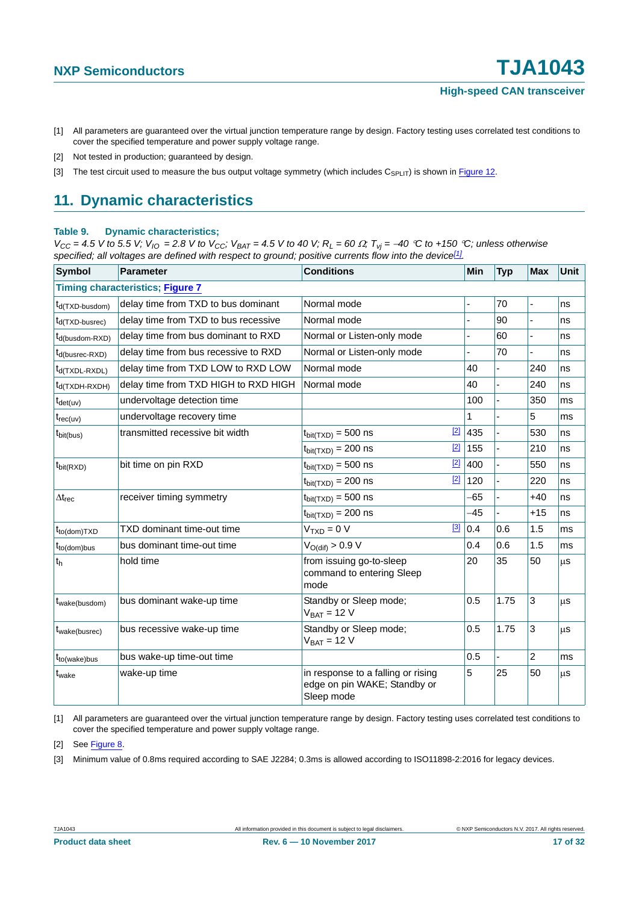- <span id="page-16-0"></span>[1] All parameters are guaranteed over the virtual junction temperature range by design. Factory testing uses correlated test conditions to cover the specified temperature and power supply voltage range.
- <span id="page-16-1"></span>[2] Not tested in production; guaranteed by design.
- <span id="page-16-2"></span>[3] The test circuit used to measure the bus output voltage symmetry (which includes  $C_{\text{SPI IT}}$ ) is shown in [Figure 12](#page-19-0).

### <span id="page-16-7"></span>**11. Dynamic characteristics**

#### <span id="page-16-6"></span>**Table 9. Dynamic characteristics;**

*V<sub>CC</sub>* = 4.5 *V* to 5.5 *V*;  $V_{10}$  = 2.8 *V* to  $V_{CC}$ ;  $V_{BAT}$  = 4.5 *V* to 40 *V*;  $R_L$  = 60  $\Omega$ ;  $T_{Vj}$  = -40 °C to +150 °C; unless otherwise *specified; all voltages are defined with respect to ground; positive currents flow into the device[\[1\]](#page-16-3).*

| <b>Symbol</b>                           | <b>Parameter</b>                     | <b>Conditions</b>                                                                | Min   | <b>Typ</b> | <b>Max</b>     | Unit |  |  |  |
|-----------------------------------------|--------------------------------------|----------------------------------------------------------------------------------|-------|------------|----------------|------|--|--|--|
| <b>Timing characteristics; Figure 7</b> |                                      |                                                                                  |       |            |                |      |  |  |  |
| t <sub>d</sub> (TXD-busdom)             | delay time from TXD to bus dominant  | Normal mode                                                                      |       | 70         | L,             | ns   |  |  |  |
| t <sub>d</sub> (TXD-busrec)             | delay time from TXD to bus recessive | Normal mode                                                                      |       | 90         | ä,             | ns   |  |  |  |
| t <sub>d</sub> (busdom-RXD)             | delay time from bus dominant to RXD  | Normal or Listen-only mode                                                       |       | 60         |                | ns   |  |  |  |
| $t_{d(busrec-RXD)}$                     | delay time from bus recessive to RXD | Normal or Listen-only mode                                                       |       | 70         |                | ns   |  |  |  |
| $t_{d(TXDL-RXDL)}$                      | delay time from TXD LOW to RXD LOW   | Normal mode                                                                      | 40    |            | 240            | ns   |  |  |  |
| t <sub>d</sub> (TXDH-RXDH)              | delay time from TXD HIGH to RXD HIGH | Normal mode                                                                      | 40    | ÷,         | 240            | ns   |  |  |  |
| $t_{\text{det}(uv)}$                    | undervoltage detection time          |                                                                                  | 100   |            | 350            | ms   |  |  |  |
| $t_{rec(uv)}$                           | undervoltage recovery time           |                                                                                  | 1     |            | 5              | ms   |  |  |  |
| $t_{\text{bit(bus)}}$                   | transmitted recessive bit width      | $[2]$<br>$t_{\text{bit(TXD)}} = 500$ ns                                          | 435   |            | 530            | ns   |  |  |  |
|                                         |                                      | $[2]$<br>$t_{\text{bit(TXD)}} = 200$ ns                                          | 155   |            | 210            | ns   |  |  |  |
| $t_{\text{bit(RXD)}}$                   | bit time on pin RXD                  | $[2]$<br>$t_{\text{bit(TXD)}} = 500$ ns                                          | 400   |            | 550            | ns   |  |  |  |
|                                         |                                      | $[2]$<br>$t_{\text{bit(TXD)}} = 200$ ns                                          | 120   |            | 220            | ns   |  |  |  |
| $\Delta t_{rec}$                        | receiver timing symmetry             | $t_{\text{bit(TXD)}} = 500$ ns                                                   | $-65$ |            | $+40$          | ns   |  |  |  |
|                                         |                                      | $t_{\text{bit(TXD)}} = 200$ ns                                                   | -45   |            | $+15$          | ns   |  |  |  |
| $t_{to (dom)TXD}$                       | TXD dominant time-out time           | $[3]$<br>$VTXD = 0 V$                                                            | 0.4   | 0.6        | 1.5            | ms   |  |  |  |
| $t_{to (dom)bus}$                       | bus dominant time-out time           | $V_{O(dif)} > 0.9 V$                                                             | 0.4   | 0.6        | 1.5            | ms   |  |  |  |
| $t_h$                                   | hold time                            | from issuing go-to-sleep<br>command to entering Sleep<br>mode                    | 20    | 35         | 50             | μS   |  |  |  |
| t <sub>wake(busdom)</sub>               | bus dominant wake-up time            | Standby or Sleep mode;<br>$V_{BAT} = 12 V$                                       | 0.5   | 1.75       | 3              | μS   |  |  |  |
| $t_{\text{wake(busrec)}}$               | bus recessive wake-up time           | Standby or Sleep mode;<br>$V_{BAT} = 12 V$                                       | 0.5   | 1.75       | 3              | μS   |  |  |  |
| $t_{to(wake)bus}$                       | bus wake-up time-out time            |                                                                                  | 0.5   |            | $\overline{2}$ | ms   |  |  |  |
| t <sub>wake</sub>                       | wake-up time                         | in response to a falling or rising<br>edge on pin WAKE; Standby or<br>Sleep mode | 5     | 25         | 50             | μS   |  |  |  |

<span id="page-16-3"></span>[1] All parameters are guaranteed over the virtual junction temperature range by design. Factory testing uses correlated test conditions to cover the specified temperature and power supply voltage range.

<span id="page-16-4"></span>[2] See [Figure 8.](#page-17-1)

<span id="page-16-5"></span>[3] Minimum value of 0.8ms required according to SAE J2284; 0.3ms is allowed according to ISO11898-2:2016 for legacy devices.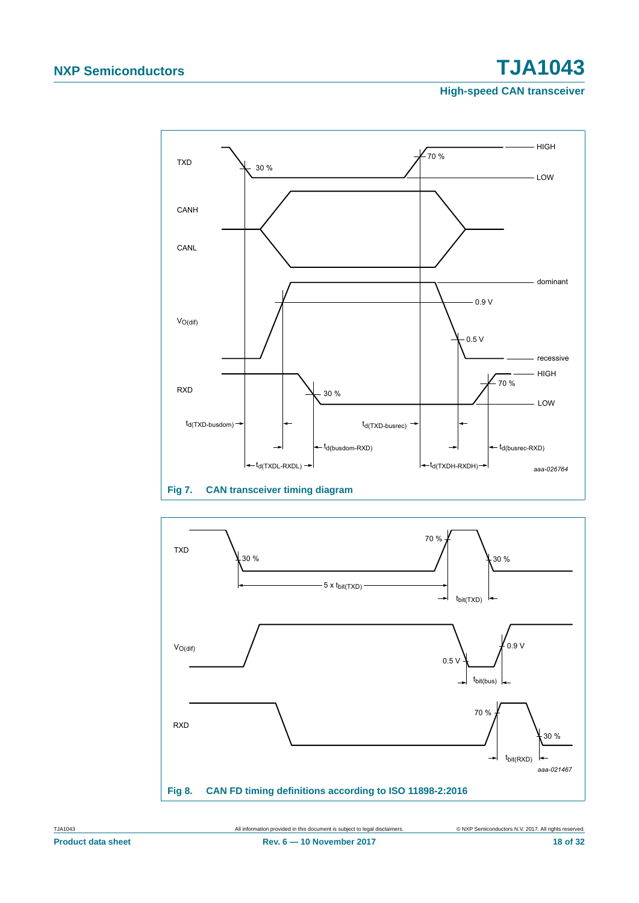# **NXP Semiconductors TJA1043**

**High-speed CAN transceiver**



<span id="page-17-0"></span>

<span id="page-17-1"></span>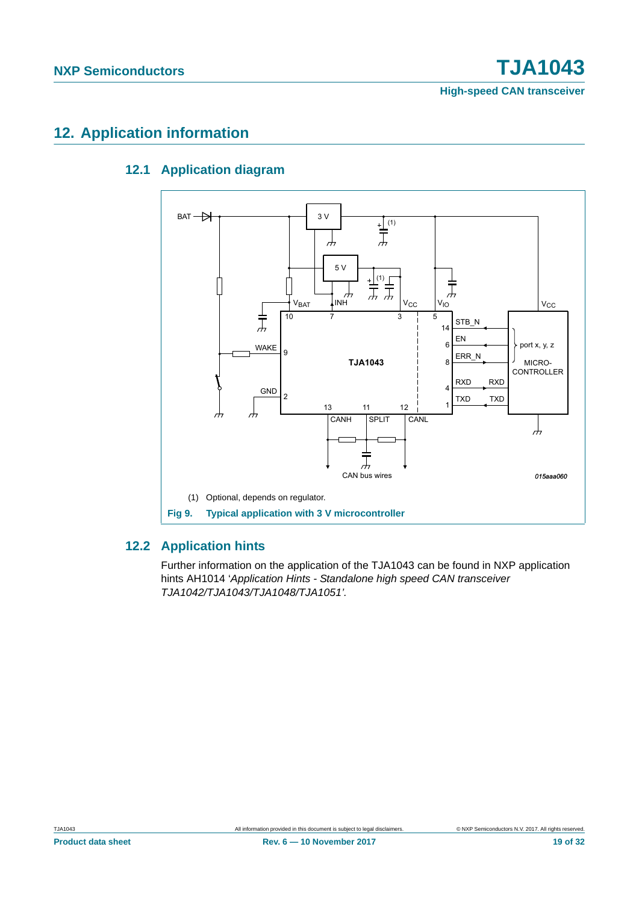**High-speed CAN transceiver**

## <span id="page-18-3"></span><span id="page-18-2"></span>**12. Application information**

### **12.1 Application diagram**



#### <span id="page-18-1"></span><span id="page-18-0"></span>**12.2 Application hints**

Further information on the application of the TJA1043 can be found in NXP application hints AH1014 '*Application Hints - Standalone high speed CAN transceiver TJA1042/TJA1043/TJA1048/TJA1051'.*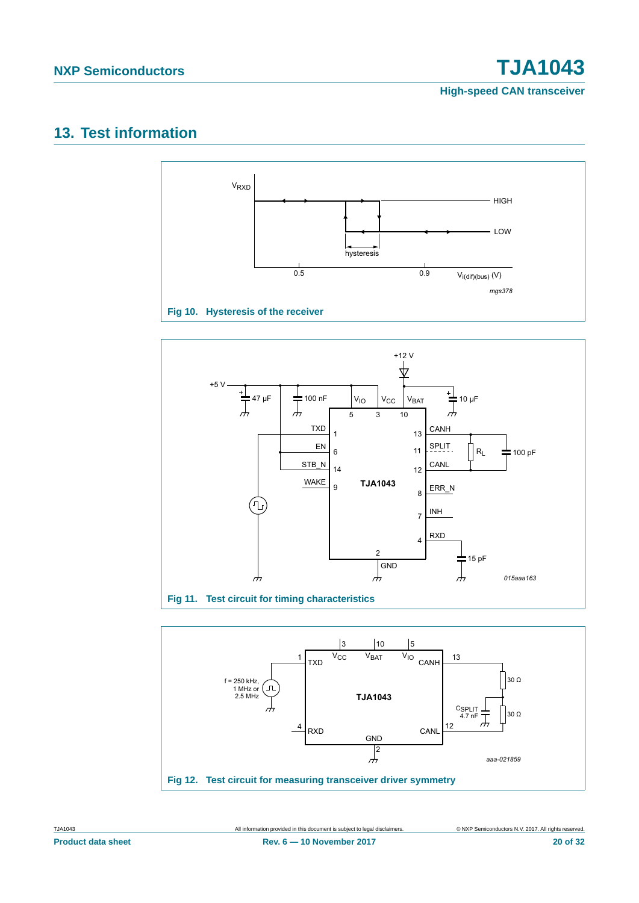**NXP Semiconductors TJA1043**

**High-speed CAN transceiver**

## <span id="page-19-1"></span>**13. Test information**





<span id="page-19-0"></span>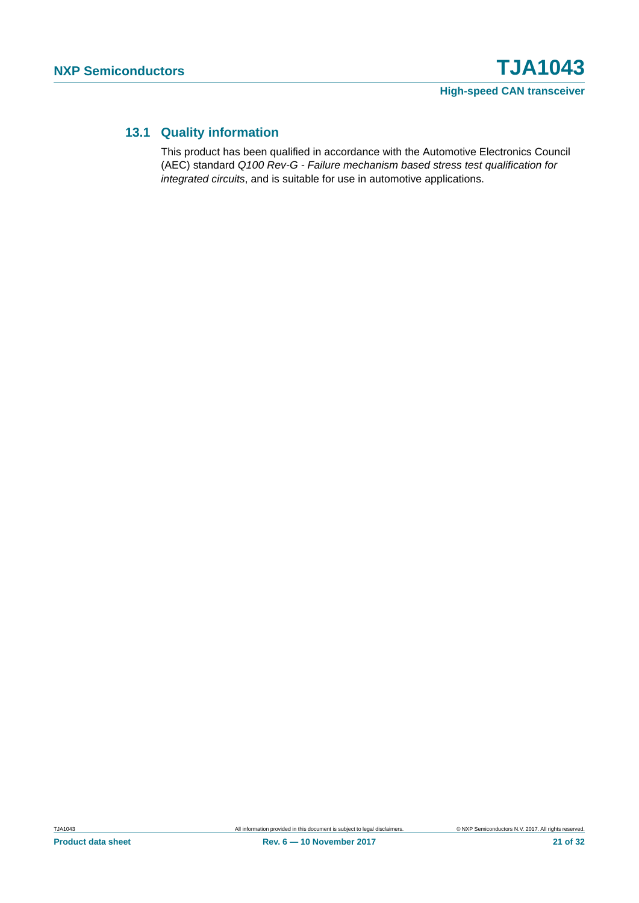### <span id="page-20-0"></span>**13.1 Quality information**

This product has been qualified in accordance with the Automotive Electronics Council (AEC) standard *Q100 Rev-G - Failure mechanism based stress test qualification for integrated circuits*, and is suitable for use in automotive applications.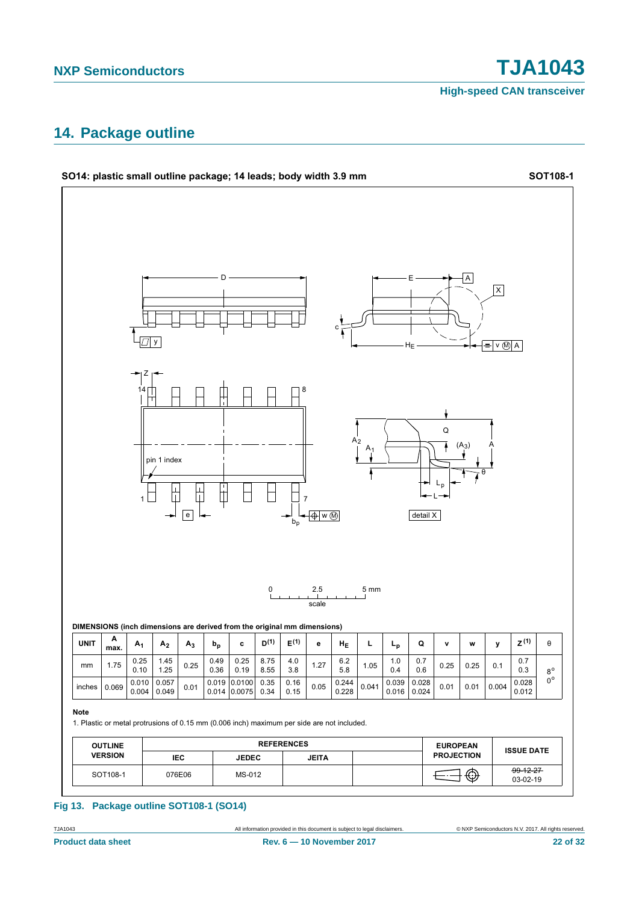**High-speed CAN transceiver**

### <span id="page-21-0"></span>**14. Package outline**



#### **Fig 13. Package outline SOT108-1 (SO14)**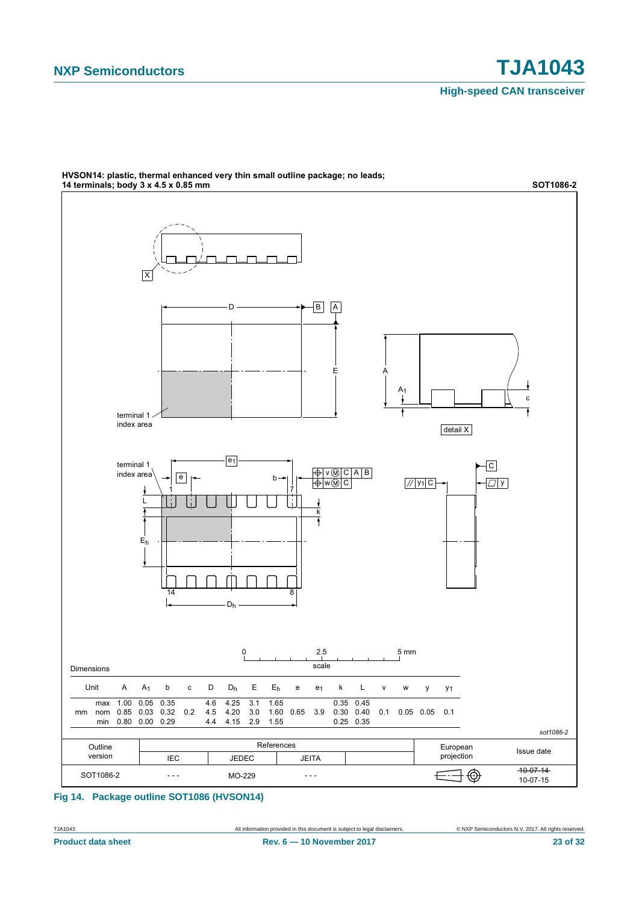

HVSON14: plastic, thermal enhanced very thin small outline package; no leads;

#### **Fig 14. Package outline SOT1086 (HVSON14)**

TJA1043 All information provided in this document is subject to legal disclaimers. © NXP Semiconductors N.V. 2017. All rights reserved.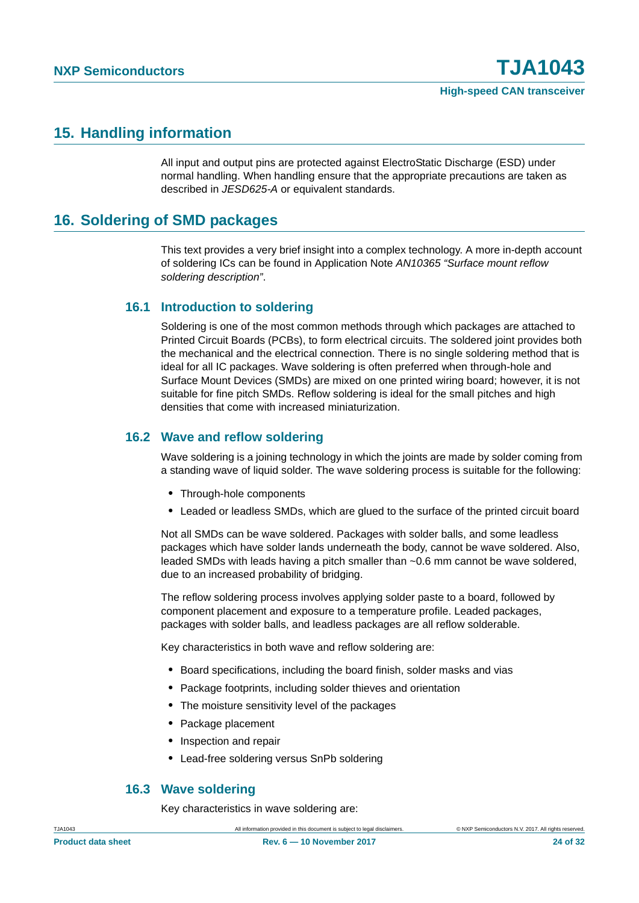### <span id="page-23-1"></span>**15. Handling information**

All input and output pins are protected against ElectroStatic Discharge (ESD) under normal handling. When handling ensure that the appropriate precautions are taken as described in *JESD625-A* or equivalent standards.

### <span id="page-23-0"></span>**16. Soldering of SMD packages**

This text provides a very brief insight into a complex technology. A more in-depth account of soldering ICs can be found in Application Note *AN10365 "Surface mount reflow soldering description"*.

#### <span id="page-23-2"></span>**16.1 Introduction to soldering**

Soldering is one of the most common methods through which packages are attached to Printed Circuit Boards (PCBs), to form electrical circuits. The soldered joint provides both the mechanical and the electrical connection. There is no single soldering method that is ideal for all IC packages. Wave soldering is often preferred when through-hole and Surface Mount Devices (SMDs) are mixed on one printed wiring board; however, it is not suitable for fine pitch SMDs. Reflow soldering is ideal for the small pitches and high densities that come with increased miniaturization.

#### <span id="page-23-3"></span>**16.2 Wave and reflow soldering**

Wave soldering is a joining technology in which the joints are made by solder coming from a standing wave of liquid solder. The wave soldering process is suitable for the following:

- **•** Through-hole components
- **•** Leaded or leadless SMDs, which are glued to the surface of the printed circuit board

Not all SMDs can be wave soldered. Packages with solder balls, and some leadless packages which have solder lands underneath the body, cannot be wave soldered. Also, leaded SMDs with leads having a pitch smaller than ~0.6 mm cannot be wave soldered, due to an increased probability of bridging.

The reflow soldering process involves applying solder paste to a board, followed by component placement and exposure to a temperature profile. Leaded packages, packages with solder balls, and leadless packages are all reflow solderable.

Key characteristics in both wave and reflow soldering are:

- **•** Board specifications, including the board finish, solder masks and vias
- **•** Package footprints, including solder thieves and orientation
- **•** The moisture sensitivity level of the packages
- **•** Package placement
- **•** Inspection and repair
- **•** Lead-free soldering versus SnPb soldering

#### <span id="page-23-4"></span>**16.3 Wave soldering**

Key characteristics in wave soldering are: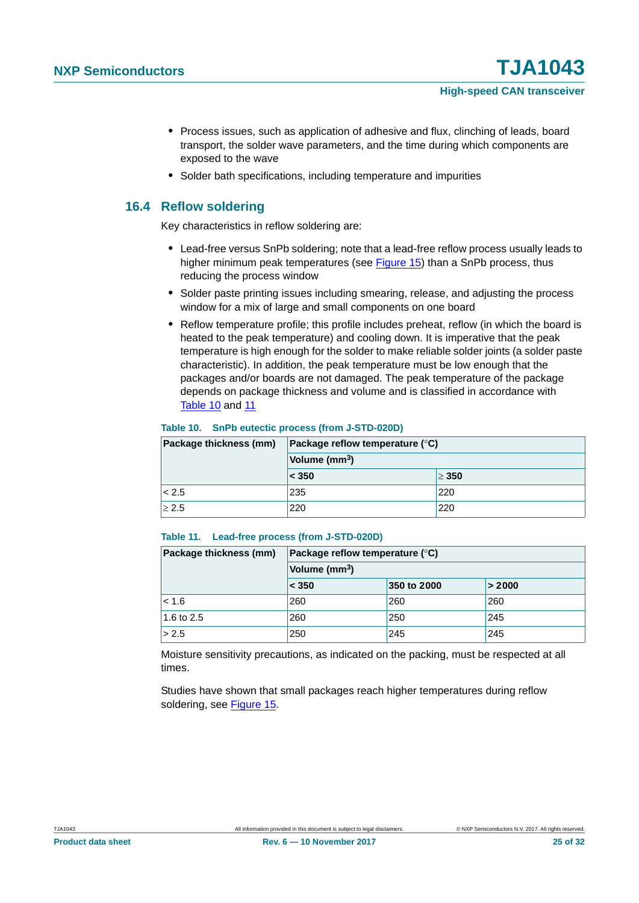- **•** Process issues, such as application of adhesive and flux, clinching of leads, board transport, the solder wave parameters, and the time during which components are exposed to the wave
- **•** Solder bath specifications, including temperature and impurities

#### <span id="page-24-2"></span>**16.4 Reflow soldering**

Key characteristics in reflow soldering are:

- **•** Lead-free versus SnPb soldering; note that a lead-free reflow process usually leads to higher minimum peak temperatures (see [Figure 15\)](#page-25-0) than a SnPb process, thus reducing the process window
- **•** Solder paste printing issues including smearing, release, and adjusting the process window for a mix of large and small components on one board
- **•** Reflow temperature profile; this profile includes preheat, reflow (in which the board is heated to the peak temperature) and cooling down. It is imperative that the peak temperature is high enough for the solder to make reliable solder joints (a solder paste characteristic). In addition, the peak temperature must be low enough that the packages and/or boards are not damaged. The peak temperature of the package depends on package thickness and volume and is classified in accordance with [Table 10](#page-24-0) and [11](#page-24-1)

#### <span id="page-24-0"></span>**Table 10. SnPb eutectic process (from J-STD-020D)**

| Package thickness (mm) | Package reflow temperature $(^\circ \text{C})$<br>Volume (mm <sup>3</sup> ) |            |  |
|------------------------|-----------------------------------------------------------------------------|------------|--|
|                        |                                                                             |            |  |
|                        | $ $ < 350                                                                   | $\geq 350$ |  |
| < 2.5                  | 235                                                                         | 220        |  |
| > 2.5                  | 220                                                                         | 220        |  |

#### <span id="page-24-1"></span>**Table 11. Lead-free process (from J-STD-020D)**

| Package thickness (mm) | Package reflow temperature $(^\circ \mathsf{C})$ |             |        |  |
|------------------------|--------------------------------------------------|-------------|--------|--|
|                        | Volume (mm <sup>3</sup> )                        |             |        |  |
|                        | < 350                                            | 350 to 2000 | > 2000 |  |
| $ $ < 1.6              | 260                                              | 260         | 260    |  |
| 1.6 to 2.5             | 260                                              | 250         | 245    |  |
| > 2.5                  | 250                                              | 245         | 245    |  |

Moisture sensitivity precautions, as indicated on the packing, must be respected at all times.

Studies have shown that small packages reach higher temperatures during reflow soldering, see [Figure 15](#page-25-0).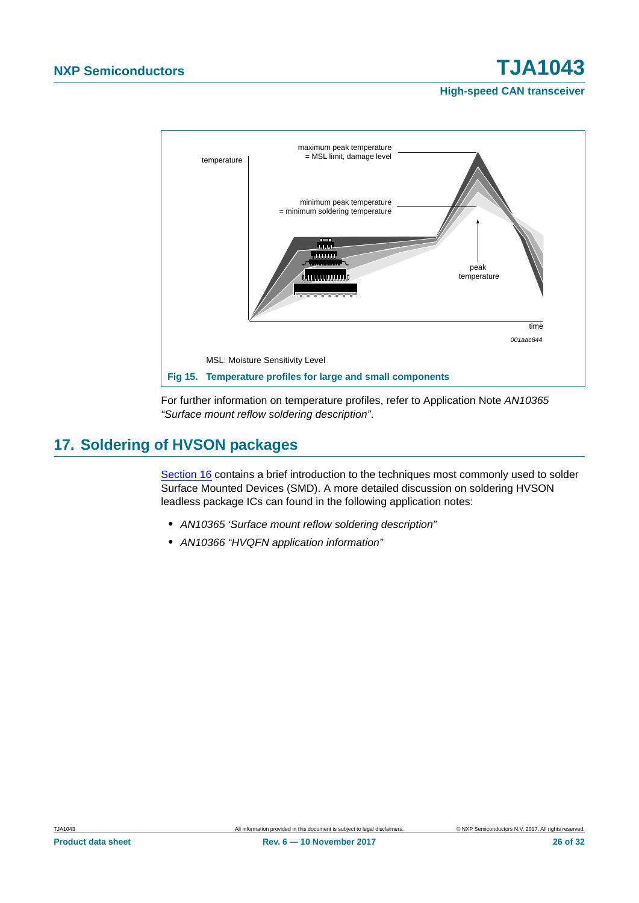**High-speed CAN transceiver**



<span id="page-25-0"></span>For further information on temperature profiles, refer to Application Note *AN10365 "Surface mount reflow soldering description"*.

## <span id="page-25-1"></span>**17. Soldering of HVSON packages**

[Section 16](#page-23-0) contains a brief introduction to the techniques most commonly used to solder Surface Mounted Devices (SMD). A more detailed discussion on soldering HVSON leadless package ICs can found in the following application notes:

- **•** *AN10365 'Surface mount reflow soldering description"*
- **•** *AN10366 "HVQFN application information"*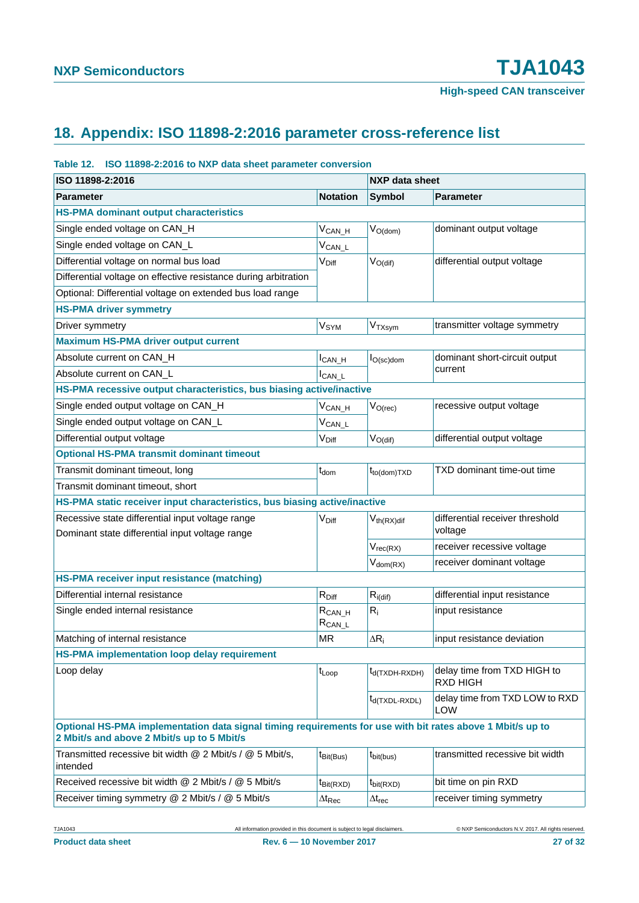# <span id="page-26-0"></span>**18. Appendix: ISO 11898-2:2016 parameter cross-reference list**

#### **Table 12. ISO 11898-2:2016 to NXP data sheet parameter conversion**

| ISO 11898-2:2016                                                                                                                                         |                             | <b>NXP data sheet</b> |                                                |  |
|----------------------------------------------------------------------------------------------------------------------------------------------------------|-----------------------------|-----------------------|------------------------------------------------|--|
| <b>Parameter</b>                                                                                                                                         | <b>Notation</b>             | <b>Symbol</b>         | <b>Parameter</b>                               |  |
| <b>HS-PMA dominant output characteristics</b>                                                                                                            |                             |                       |                                                |  |
| Single ended voltage on CAN_H                                                                                                                            | $V_{CAN_H}$                 | $V_{O(dom)}$          | dominant output voltage                        |  |
| Single ended voltage on CAN_L                                                                                                                            | $V_{CAN\_L}$                |                       |                                                |  |
| Differential voltage on normal bus load                                                                                                                  | $V_{\text{Diff}}$           | $V_{O(dif)}$          | differential output voltage                    |  |
| Differential voltage on effective resistance during arbitration                                                                                          |                             |                       |                                                |  |
| Optional: Differential voltage on extended bus load range                                                                                                |                             |                       |                                                |  |
| <b>HS-PMA driver symmetry</b>                                                                                                                            |                             |                       |                                                |  |
| Driver symmetry                                                                                                                                          | V <sub>SYM</sub>            | V <sub>TXsym</sub>    | transmitter voltage symmetry                   |  |
| <b>Maximum HS-PMA driver output current</b>                                                                                                              |                             |                       |                                                |  |
| Absolute current on CAN H                                                                                                                                | $I_{CAN_H}$                 | $I_{O(\text{sc})$ dom | dominant short-circuit output                  |  |
| Absolute current on CAN_L                                                                                                                                | $I_{CAN\_L}$                |                       | current                                        |  |
| HS-PMA recessive output characteristics, bus biasing active/inactive                                                                                     |                             |                       |                                                |  |
| Single ended output voltage on CAN_H                                                                                                                     | $V_{\mathsf{CAN\_H}}$       | $V_{O(rec)}$          | recessive output voltage                       |  |
| Single ended output voltage on CAN_L                                                                                                                     | $V_{CAN\_L}$                |                       |                                                |  |
| Differential output voltage                                                                                                                              | V <sub>Diff</sub>           | $V_{O(di)}$           | differential output voltage                    |  |
| <b>Optional HS-PMA transmit dominant timeout</b>                                                                                                         |                             |                       |                                                |  |
| Transmit dominant timeout, long                                                                                                                          | $t_{dom}$                   | $t_{to (dom)TXD}$     | TXD dominant time-out time                     |  |
| Transmit dominant timeout, short                                                                                                                         |                             |                       |                                                |  |
| HS-PMA static receiver input characteristics, bus biasing active/inactive                                                                                |                             |                       |                                                |  |
| Recessive state differential input voltage range                                                                                                         | V <sub>Diff</sub>           | $V_{th(RX)$ dif       | differential receiver threshold                |  |
| Dominant state differential input voltage range                                                                                                          |                             |                       | voltage                                        |  |
|                                                                                                                                                          |                             | $V_{rec(RX)}$         | receiver recessive voltage                     |  |
|                                                                                                                                                          |                             | $V_{dom(RX)}$         | receiver dominant voltage                      |  |
| HS-PMA receiver input resistance (matching)                                                                                                              |                             |                       |                                                |  |
| Differential internal resistance                                                                                                                         | $R_{Diff}$                  | $R_{i\text{(dif)}}$   | differential input resistance                  |  |
| Single ended internal resistance                                                                                                                         | $R_{CAN_H}$<br>$R_{CAN\_L}$ | $R_i$                 | input resistance                               |  |
| Matching of internal resistance                                                                                                                          | <b>MR</b>                   | $\Delta R_i$          | input resistance deviation                     |  |
| HS-PMA implementation loop delay requirement                                                                                                             |                             |                       |                                                |  |
| Loop delay                                                                                                                                               | $t_{Loop}$                  | $t_{d(TXDH-RXDH)}$    | delay time from TXD HIGH to<br><b>RXD HIGH</b> |  |
|                                                                                                                                                          |                             | $t_{d(TXDL-RXDL)}$    | delay time from TXD LOW to RXD<br><b>LOW</b>   |  |
| Optional HS-PMA implementation data signal timing requirements for use with bit rates above 1 Mbit/s up to<br>2 Mbit/s and above 2 Mbit/s up to 5 Mbit/s |                             |                       |                                                |  |
| Transmitted recessive bit width @ 2 Mbit/s / @ 5 Mbit/s,<br>intended                                                                                     | $t_{\text{Bit(Bus)}}$       | $t_{\text{bit(bus)}}$ | transmitted recessive bit width                |  |
| Received recessive bit width @ 2 Mbit/s / @ 5 Mbit/s                                                                                                     | $t_{\text{Bit(RXD)}}$       | $t_{\text{bit(RXD)}}$ | bit time on pin RXD                            |  |
| Receiver timing symmetry @ 2 Mbit/s / @ 5 Mbit/s                                                                                                         | $\Delta t_\mathsf{Rec}$     | $\Delta t_{rec}$      | receiver timing symmetry                       |  |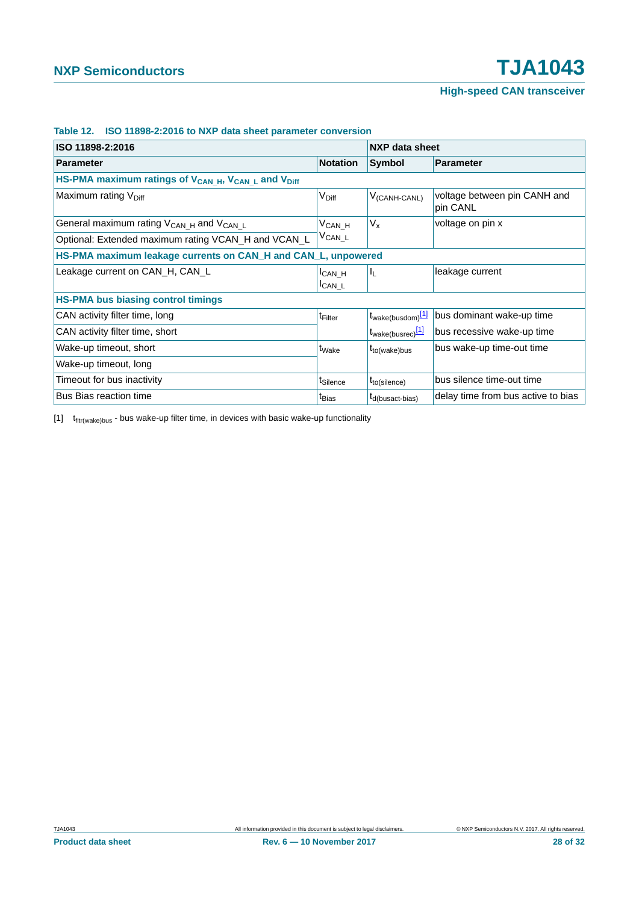| ISO 11898-2:2016                                                                        |                                     | NXP data sheet                |                                          |  |
|-----------------------------------------------------------------------------------------|-------------------------------------|-------------------------------|------------------------------------------|--|
| <b>Parameter</b>                                                                        | <b>Notation</b>                     | Symbol                        | <b>Parameter</b>                         |  |
| HS-PMA maximum ratings of V <sub>CAN_H</sub> , V <sub>CAN_L</sub> and V <sub>Diff</sub> |                                     |                               |                                          |  |
| Maximum rating V <sub>Diff</sub>                                                        | V <sub>Diff</sub>                   | $V_{(CANH\text{-}CANL)}$      | voltage between pin CANH and<br>pin CANL |  |
| General maximum rating $V_{CAN H}$ and $V_{CAN L}$                                      | $V_{CAN_H}$                         | $V_{x}$                       | voltage on pin x                         |  |
| Optional: Extended maximum rating VCAN_H and VCAN_L                                     | $V_{CAN\_L}$                        |                               |                                          |  |
| HS-PMA maximum leakage currents on CAN_H and CAN_L, unpowered                           |                                     |                               |                                          |  |
| Leakage current on CAN_H, CAN_L                                                         | I <sub>CAN</sub> H<br><b>ICAN L</b> | IL.                           | leakage current                          |  |
| <b>HS-PMA bus biasing control timings</b>                                               |                                     |                               |                                          |  |
| CAN activity filter time, long                                                          | <sup>t</sup> Filter                 | t <sub>wake(busdom)</sub> [1] | bus dominant wake-up time                |  |
| CAN activity filter time, short                                                         |                                     | t <sub>wake(busrec)</sub> [1] | bus recessive wake-up time               |  |
| Wake-up timeout, short                                                                  | t <sub>Wake</sub>                   | $t_{to(wake)bus}$             | bus wake-up time-out time                |  |
| Wake-up timeout, long                                                                   |                                     |                               |                                          |  |
| Timeout for bus inactivity                                                              | t <sub>Silence</sub>                | $t_{to(silence)}$             | bus silence time-out time                |  |
| Bus Bias reaction time                                                                  | t <sub>Bias</sub>                   | t <sub>d</sub> (busact-bias)  | delay time from bus active to bias       |  |

#### **Table 12. ISO 11898-2:2016 to NXP data sheet parameter conversion**

<span id="page-27-0"></span> $[1]$   $t$ <sub>fltr(wake)bus</sub> - bus wake-up filter time, in devices with basic wake-up functionality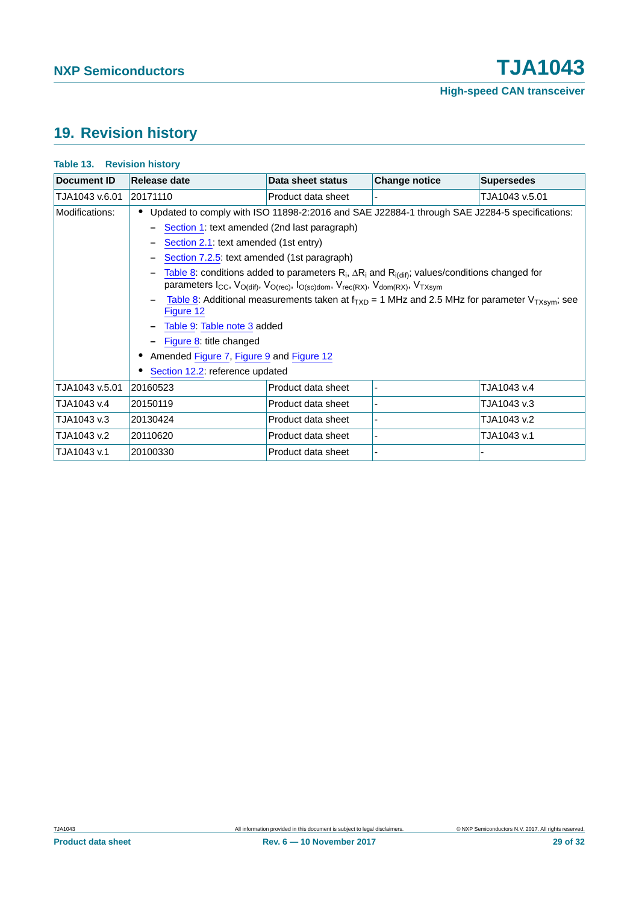# <span id="page-28-0"></span>**19. Revision history**

| <b>Table 13. Revision history</b> |                                                                                                                                                                                                                                                                                                                                                                                                                                                                                                                                                     |                                             |                      |                   |  |  |
|-----------------------------------|-----------------------------------------------------------------------------------------------------------------------------------------------------------------------------------------------------------------------------------------------------------------------------------------------------------------------------------------------------------------------------------------------------------------------------------------------------------------------------------------------------------------------------------------------------|---------------------------------------------|----------------------|-------------------|--|--|
| Document ID                       | Release date                                                                                                                                                                                                                                                                                                                                                                                                                                                                                                                                        | Data sheet status                           | <b>Change notice</b> | <b>Supersedes</b> |  |  |
| TJA1043 v.6.01                    | 20171110                                                                                                                                                                                                                                                                                                                                                                                                                                                                                                                                            | Product data sheet                          |                      | TJA1043 v.5.01    |  |  |
| Modifications:                    | Updated to comply with ISO 11898-2:2016 and SAE J22884-1 through SAE J2284-5 specifications:                                                                                                                                                                                                                                                                                                                                                                                                                                                        |                                             |                      |                   |  |  |
|                                   | Section 1: text amended (2nd last paragraph)                                                                                                                                                                                                                                                                                                                                                                                                                                                                                                        |                                             |                      |                   |  |  |
|                                   | Section 2.1: text amended (1st entry)                                                                                                                                                                                                                                                                                                                                                                                                                                                                                                               |                                             |                      |                   |  |  |
|                                   |                                                                                                                                                                                                                                                                                                                                                                                                                                                                                                                                                     | Section 7.2.5: text amended (1st paragraph) |                      |                   |  |  |
|                                   | Table 8: conditions added to parameters $R_i$ , $\Delta R_i$ and $R_{i(dif)}$ ; values/conditions changed for<br>parameters I <sub>CC</sub> , V <sub>O(dif)</sub> , V <sub>O(rec)</sub> , I <sub>O(sc)dom</sub> , V <sub>rec(RX)</sub> , V <sub>dom(RX)</sub> , V <sub>TXsym</sub><br>Table 8: Additional measurements taken at $f_{TXD}$ = 1 MHz and 2.5 MHz for parameter $V_{TXsym}$ ; see<br>Figure 12<br>Table 9: Table note 3 added<br>Figure 8: title changed<br>Amended Figure 7, Figure 9 and Figure 12<br>Section 12.2: reference updated |                                             |                      |                   |  |  |
| TJA1043 v.5.01                    | 20160523                                                                                                                                                                                                                                                                                                                                                                                                                                                                                                                                            | Product data sheet                          |                      | TJA1043 v.4       |  |  |
| TJA1043 v.4                       | 20150119                                                                                                                                                                                                                                                                                                                                                                                                                                                                                                                                            | Product data sheet                          |                      | TJA1043 v.3       |  |  |
| TJA1043 v.3                       | 20130424                                                                                                                                                                                                                                                                                                                                                                                                                                                                                                                                            | Product data sheet                          |                      | TJA1043 v.2       |  |  |
| TJA1043 v.2                       | 20110620                                                                                                                                                                                                                                                                                                                                                                                                                                                                                                                                            | Product data sheet                          |                      | TJA1043 v.1       |  |  |
| TJA1043 v.1                       | 20100330                                                                                                                                                                                                                                                                                                                                                                                                                                                                                                                                            | Product data sheet                          |                      |                   |  |  |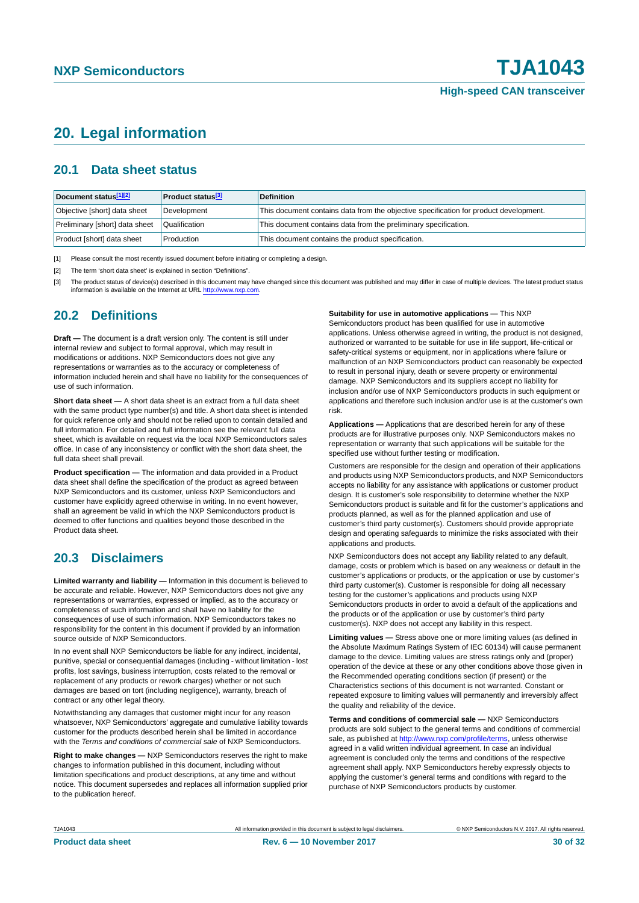### <span id="page-29-3"></span>**20. Legal information**

#### <span id="page-29-4"></span>**20.1 Data sheet status**

| Document status <sup>[1][2]</sup> | <b>Product status</b> <sup>[3]</sup> | <b>Definition</b>                                                                     |
|-----------------------------------|--------------------------------------|---------------------------------------------------------------------------------------|
| Objective [short] data sheet      | Development                          | This document contains data from the objective specification for product development. |
| Preliminary [short] data sheet    | Qualification                        | This document contains data from the preliminary specification.                       |
| Product [short] data sheet        | Production                           | This document contains the product specification.                                     |

<span id="page-29-0"></span>[1] Please consult the most recently issued document before initiating or completing a design.

<span id="page-29-1"></span>[2] The term 'short data sheet' is explained in section "Definitions".

<span id="page-29-2"></span>[3] The product status of device(s) described in this document may have changed since this document was published and may differ in case of multiple devices. The latest product status<br>information is available on the Intern

#### <span id="page-29-5"></span>**20.2 Definitions**

**Draft —** The document is a draft version only. The content is still under internal review and subject to formal approval, which may result in modifications or additions. NXP Semiconductors does not give any representations or warranties as to the accuracy or completeness of information included herein and shall have no liability for the consequences of use of such information.

**Short data sheet —** A short data sheet is an extract from a full data sheet with the same product type number(s) and title. A short data sheet is intended for quick reference only and should not be relied upon to contain detailed and full information. For detailed and full information see the relevant full data sheet, which is available on request via the local NXP Semiconductors sales office. In case of any inconsistency or conflict with the short data sheet, the full data sheet shall prevail.

**Product specification —** The information and data provided in a Product data sheet shall define the specification of the product as agreed between NXP Semiconductors and its customer, unless NXP Semiconductors and customer have explicitly agreed otherwise in writing. In no event however, shall an agreement be valid in which the NXP Semiconductors product is deemed to offer functions and qualities beyond those described in the Product data sheet.

#### <span id="page-29-6"></span>**20.3 Disclaimers**

**Limited warranty and liability —** Information in this document is believed to be accurate and reliable. However, NXP Semiconductors does not give any representations or warranties, expressed or implied, as to the accuracy or completeness of such information and shall have no liability for the consequences of use of such information. NXP Semiconductors takes no responsibility for the content in this document if provided by an information source outside of NXP Semiconductors.

In no event shall NXP Semiconductors be liable for any indirect, incidental, punitive, special or consequential damages (including - without limitation - lost profits, lost savings, business interruption, costs related to the removal or replacement of any products or rework charges) whether or not such damages are based on tort (including negligence), warranty, breach of contract or any other legal theory.

Notwithstanding any damages that customer might incur for any reason whatsoever, NXP Semiconductors' aggregate and cumulative liability towards customer for the products described herein shall be limited in accordance with the *Terms and conditions of commercial sale* of NXP Semiconductors.

**Right to make changes —** NXP Semiconductors reserves the right to make changes to information published in this document, including without limitation specifications and product descriptions, at any time and without notice. This document supersedes and replaces all information supplied prior to the publication hereof.

**Suitability for use in automotive applications —** This NXP

Semiconductors product has been qualified for use in automotive applications. Unless otherwise agreed in writing, the product is not designed, authorized or warranted to be suitable for use in life support, life-critical or safety-critical systems or equipment, nor in applications where failure or malfunction of an NXP Semiconductors product can reasonably be expected to result in personal injury, death or severe property or environmental damage. NXP Semiconductors and its suppliers accept no liability for inclusion and/or use of NXP Semiconductors products in such equipment or applications and therefore such inclusion and/or use is at the customer's own risk.

**Applications —** Applications that are described herein for any of these products are for illustrative purposes only. NXP Semiconductors makes no representation or warranty that such applications will be suitable for the specified use without further testing or modification.

Customers are responsible for the design and operation of their applications and products using NXP Semiconductors products, and NXP Semiconductors accepts no liability for any assistance with applications or customer product design. It is customer's sole responsibility to determine whether the NXP Semiconductors product is suitable and fit for the customer's applications and products planned, as well as for the planned application and use of customer's third party customer(s). Customers should provide appropriate design and operating safeguards to minimize the risks associated with their applications and products.

NXP Semiconductors does not accept any liability related to any default, damage, costs or problem which is based on any weakness or default in the customer's applications or products, or the application or use by customer's third party customer(s). Customer is responsible for doing all necessary testing for the customer's applications and products using NXP Semiconductors products in order to avoid a default of the applications and the products or of the application or use by customer's third party customer(s). NXP does not accept any liability in this respect.

**Limiting values —** Stress above one or more limiting values (as defined in the Absolute Maximum Ratings System of IEC 60134) will cause permanent damage to the device. Limiting values are stress ratings only and (proper) operation of the device at these or any other conditions above those given in the Recommended operating conditions section (if present) or the Characteristics sections of this document is not warranted. Constant or repeated exposure to limiting values will permanently and irreversibly affect the quality and reliability of the device.

**Terms and conditions of commercial sale —** NXP Semiconductors products are sold subject to the general terms and conditions of commercial sale, as published at<http://www.nxp.com/profile/terms>, unless otherwise agreed in a valid written individual agreement. In case an individual agreement is concluded only the terms and conditions of the respective agreement shall apply. NXP Semiconductors hereby expressly objects to applying the customer's general terms and conditions with regard to the purchase of NXP Semiconductors products by customer.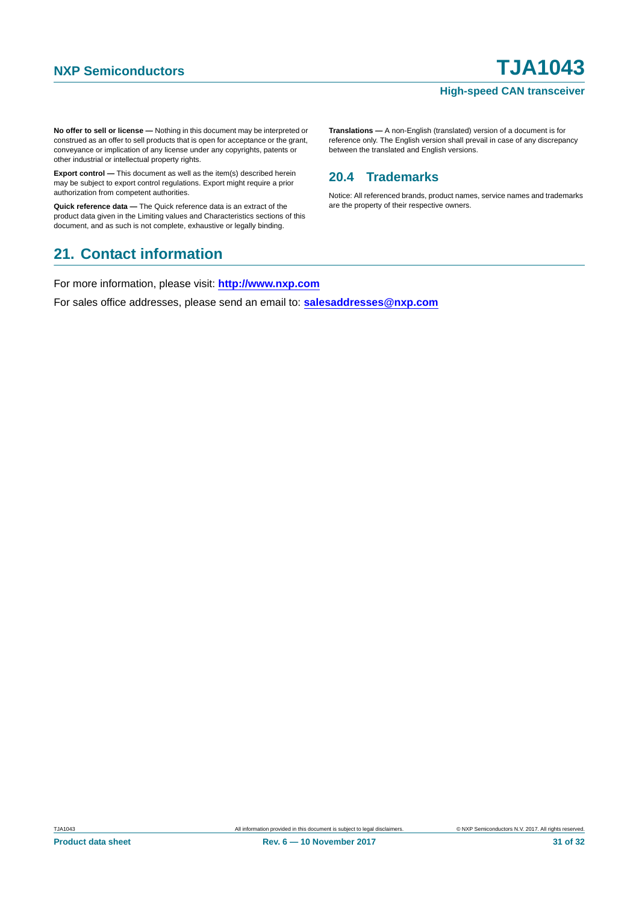#### **High-speed CAN transceiver**

**No offer to sell or license —** Nothing in this document may be interpreted or construed as an offer to sell products that is open for acceptance or the grant, conveyance or implication of any license under any copyrights, patents or other industrial or intellectual property rights.

**Export control —** This document as well as the item(s) described herein may be subject to export control regulations. Export might require a prior authorization from competent authorities.

**Quick reference data —** The Quick reference data is an extract of the product data given in the Limiting values and Characteristics sections of this document, and as such is not complete, exhaustive or legally binding.

### <span id="page-30-1"></span>**21. Contact information**

For more information, please visit: **http://www.nxp.com**

For sales office addresses, please send an email to: **salesaddresses@nxp.com**

**Translations —** A non-English (translated) version of a document is for reference only. The English version shall prevail in case of any discrepancy between the translated and English versions.

### <span id="page-30-0"></span>**20.4 Trademarks**

Notice: All referenced brands, product names, service names and trademarks are the property of their respective owners.